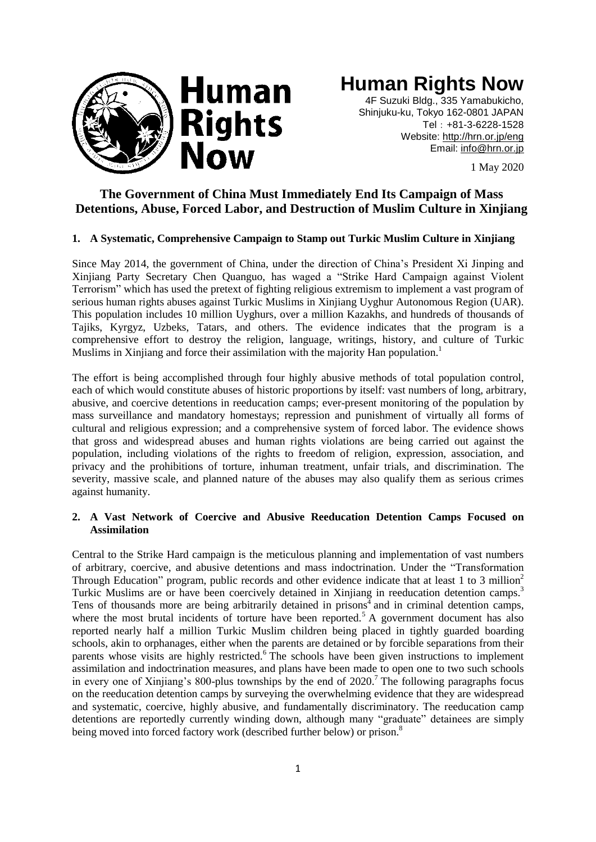

# **Human Rights Now**

4F Suzuki Bldg., 335 Yamabukicho, Shinjuku-ku, Tokyo 162-0801 JAPAN Tel:+81-3-6228-1528 Website:<http://hrn.or.jp/eng> Email: [info@hrn.or.jp](mailto:info@hrn.or.jp)

1 May 2020

# **The Government of China Must Immediately End Its Campaign of Mass Detentions, Abuse, Forced Labor, and Destruction of Muslim Culture in Xinjiang**

# **1. A Systematic, Comprehensive Campaign to Stamp out Turkic Muslim Culture in Xinjiang**

Since May 2014, the government of China, under the direction of China's President Xi Jinping and Xinjiang Party Secretary Chen Quanguo, has waged a "Strike Hard Campaign against Violent Terrorism" which has used the pretext of fighting religious extremism to implement a vast program of serious human rights abuses against Turkic Muslims in Xinjiang Uyghur Autonomous Region (UAR). This population includes 10 million Uyghurs, over a million Kazakhs, and hundreds of thousands of Tajiks, Kyrgyz, Uzbeks, Tatars, and others. The evidence indicates that the program is a comprehensive effort to destroy the religion, language, writings, history, and culture of Turkic Muslims in Xinjiang and force their assimilation with the majority Han population.<sup>1</sup>

The effort is being accomplished through four highly abusive methods of total population control, each of which would constitute abuses of historic proportions by itself: vast numbers of long, arbitrary, abusive, and coercive detentions in reeducation camps; ever-present monitoring of the population by mass surveillance and mandatory homestays; repression and punishment of virtually all forms of cultural and religious expression; and a comprehensive system of forced labor. The evidence shows that gross and widespread abuses and human rights violations are being carried out against the population, including violations of the rights to freedom of religion, expression, association, and privacy and the prohibitions of torture, inhuman treatment, unfair trials, and discrimination. The severity, massive scale, and planned nature of the abuses may also qualify them as serious crimes against humanity.

# **2. A Vast Network of Coercive and Abusive Reeducation Detention Camps Focused on Assimilation**

Central to the Strike Hard campaign is the meticulous planning and implementation of vast numbers of arbitrary, coercive, and abusive detentions and mass indoctrination. Under the "Transformation Through Education" program, public records and other evidence indicate that at least 1 to 3 million<sup>2</sup> Turkic Muslims are or have been coercively detained in Xinjiang in reeducation detention camps.<sup>3</sup> Tens of thousands more are being arbitrarily detained in prisons<sup> $\frac{1}{4}$ </sup> and in criminal detention camps, where the most brutal incidents of torture have been reported.<sup>5</sup> A government document has also reported nearly half a million Turkic Muslim children being placed in tightly guarded boarding schools, akin to orphanages, either when the parents are detained or by forcible separations from their parents whose visits are highly restricted.<sup>6</sup> The schools have been given instructions to implement assimilation and indoctrination measures, and plans have been made to open one to two such schools in every one of Xinjiang's 800-plus townships by the end of  $2020$ .<sup>7</sup> The following paragraphs focus on the reeducation detention camps by surveying the overwhelming evidence that they are widespread and systematic, coercive, highly abusive, and fundamentally discriminatory. The reeducation camp detentions are reportedly currently winding down, although many "graduate" detainees are simply being moved into forced factory work (described further below) or prison.<sup>8</sup>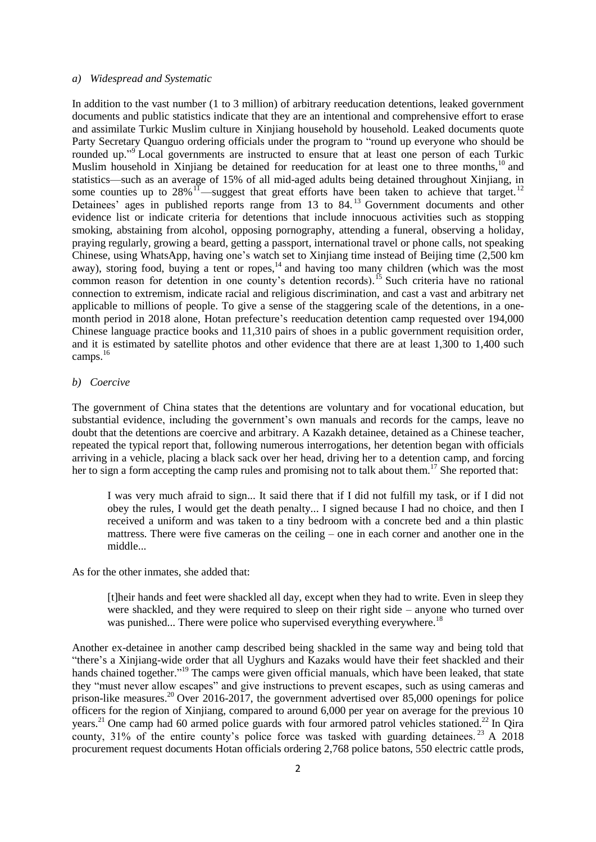#### *a) Widespread and Systematic*

In addition to the vast number (1 to 3 million) of arbitrary reeducation detentions, leaked government documents and public statistics indicate that they are an intentional and comprehensive effort to erase and assimilate Turkic Muslim culture in Xinjiang household by household. Leaked documents quote Party Secretary Quanguo ordering officials under the program to "round up everyone who should be rounded up."<sup>9</sup> Local governments are instructed to ensure that at least one person of each Turkic Muslim household in Xinjiang be detained for reeducation for at least one to three months,<sup>10</sup> and statistics—such as an average of 15% of all mid-aged adults being detained throughout Xinjiang, in some counties up to  $28\%$ <sup>11</sup>—suggest that great efforts have been taken to achieve that target.<sup>12</sup> Detainees' ages in published reports range from 13 to 84.<sup>13</sup> Government documents and other evidence list or indicate criteria for detentions that include innocuous activities such as stopping smoking, abstaining from alcohol, opposing pornography, attending a funeral, observing a holiday, praying regularly, growing a beard, getting a passport, international travel or phone calls, not speaking Chinese, using WhatsApp, having one's watch set to Xinjiang time instead of Beijing time (2,500 km away), storing food, buying a tent or ropes,<sup>14</sup> and having too many children (which was the most common reason for detention in one county's detention records).<sup>15</sup> Such criteria have no rational connection to extremism, indicate racial and religious discrimination, and cast a vast and arbitrary net applicable to millions of people. To give a sense of the staggering scale of the detentions, in a onemonth period in 2018 alone, Hotan prefecture's reeducation detention camp requested over 194,000 Chinese language practice books and 11,310 pairs of shoes in a public government requisition order, and it is estimated by satellite photos and other evidence that there are at least 1,300 to 1,400 such camps.<sup>16</sup>

#### *b) Coercive*

The government of China states that the detentions are voluntary and for vocational education, but substantial evidence, including the government's own manuals and records for the camps, leave no doubt that the detentions are coercive and arbitrary. A Kazakh detainee, detained as a Chinese teacher, repeated the typical report that, following numerous interrogations, her detention began with officials arriving in a vehicle, placing a black sack over her head, driving her to a detention camp, and forcing her to sign a form accepting the camp rules and promising not to talk about them. <sup>17</sup> She reported that:

I was very much afraid to sign... It said there that if I did not fulfill my task, or if I did not obey the rules, I would get the death penalty... I signed because I had no choice, and then I received a uniform and was taken to a tiny bedroom with a concrete bed and a thin plastic mattress. There were five cameras on the ceiling – one in each corner and another one in the middle...

As for the other inmates, she added that:

[t]heir hands and feet were shackled all day, except when they had to write. Even in sleep they were shackled, and they were required to sleep on their right side – anyone who turned over was punished... There were police who supervised everything everywhere.<sup>18</sup>

Another ex-detainee in another camp described being shackled in the same way and being told that ―there's a Xinjiang-wide order that all Uyghurs and Kazaks would have their feet shackled and their hands chained together."<sup>19</sup> The camps were given official manuals, which have been leaked, that state they "must never allow escapes" and give instructions to prevent escapes, such as using cameras and prison-like measures.<sup>20</sup> Over 2016-2017, the government advertised over 85,000 openings for police officers for the region of Xinjiang, compared to around 6,000 per year on average for the previous 10 years.<sup>21</sup> One camp had 60 armed police guards with four armored patrol vehicles stationed.<sup>22</sup> In Qira county,  $31\%$  of the entire county's police force was tasked with guarding detainees.<sup>23</sup> A 2018 procurement request documents Hotan officials ordering 2,768 police batons, 550 electric cattle prods,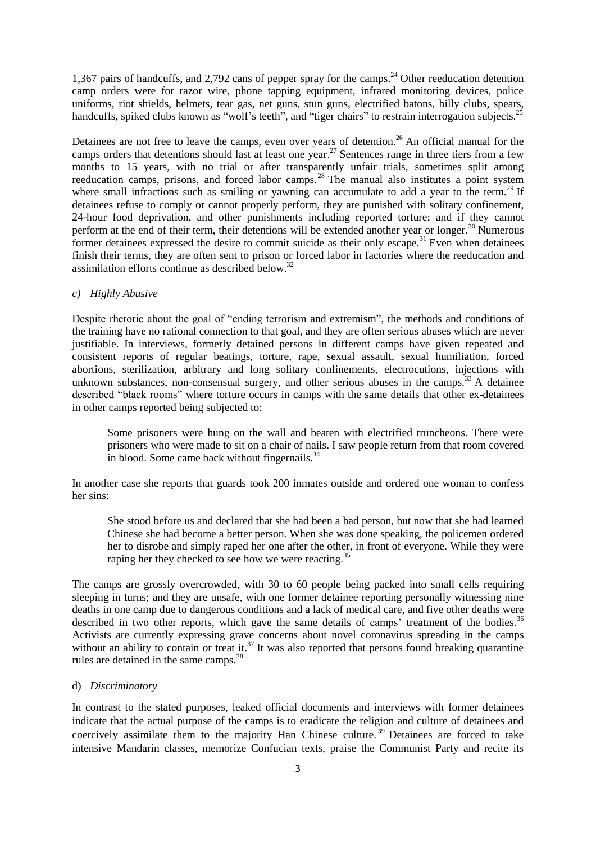1,367 pairs of handcuffs, and 2,792 cans of pepper spray for the camps. <sup>24</sup> Other reeducation detention camp orders were for razor wire, phone tapping equipment, infrared monitoring devices, police uniforms, riot shields, helmets, tear gas, net guns, stun guns, electrified batons, billy clubs, spears, handcuffs, spiked clubs known as "wolf's teeth", and "tiger chairs" to restrain interrogation subjects.<sup>25</sup>

Detainees are not free to leave the camps, even over years of detention.<sup>26</sup> An official manual for the camps orders that detentions should last at least one year. <sup>27</sup> Sentences range in three tiers from a few months to 15 years, with no trial or after transparently unfair trials, sometimes split among reeducation camps, prisons, and forced labor camps.<sup>28</sup> The manual also institutes a point system where small infractions such as smiling or yawning can accumulate to add a year to the term.<sup>29</sup> If detainees refuse to comply or cannot properly perform, they are punished with solitary confinement, 24-hour food deprivation, and other punishments including reported torture; and if they cannot perform at the end of their term, their detentions will be extended another year or longer.<sup>30</sup> Numerous former detainees expressed the desire to commit suicide as their only escape.<sup>31</sup> Even when detainees finish their terms, they are often sent to prison or forced labor in factories where the reeducation and assimilation efforts continue as described below.<sup>32</sup>

## *c) Highly Abusive*

Despite rhetoric about the goal of "ending terrorism and extremism", the methods and conditions of the training have no rational connection to that goal, and they are often serious abuses which are never justifiable. In interviews, formerly detained persons in different camps have given repeated and consistent reports of regular beatings, torture, rape, sexual assault, sexual humiliation, forced abortions, sterilization, arbitrary and long solitary confinements, electrocutions, injections with unknown substances, non-consensual surgery, and other serious abuses in the camps.<sup>33</sup> A detainee described "black rooms" where torture occurs in camps with the same details that other ex-detainees in other camps reported being subjected to:

Some prisoners were hung on the wall and beaten with electrified truncheons. There were prisoners who were made to sit on a chair of nails. I saw people return from that room covered in blood. Some came back without fingernails.<sup>34</sup>

In another case she reports that guards took 200 inmates outside and ordered one woman to confess her sins:

She stood before us and declared that she had been a bad person, but now that she had learned Chinese she had become a better person. When she was done speaking, the policemen ordered her to disrobe and simply raped her one after the other, in front of everyone. While they were raping her they checked to see how we were reacting.<sup>35</sup>

The camps are grossly overcrowded, with 30 to 60 people being packed into small cells requiring sleeping in turns; and they are unsafe, with one former detainee reporting personally witnessing nine deaths in one camp due to dangerous conditions and a lack of medical care, and five other deaths were described in two other reports, which gave the same details of camps' treatment of the bodies.<sup>36</sup> Activists are currently expressing grave concerns about novel coronavirus spreading in the camps without an ability to contain or treat it.<sup>37</sup> It was also reported that persons found breaking quarantine rules are detained in the same camps.<sup>38</sup>

# d) *Discriminatory*

In contrast to the stated purposes, leaked official documents and interviews with former detainees indicate that the actual purpose of the camps is to eradicate the religion and culture of detainees and coercively assimilate them to the majority Han Chinese culture.<sup>39</sup> Detainees are forced to take intensive Mandarin classes, memorize Confucian texts, praise the Communist Party and recite its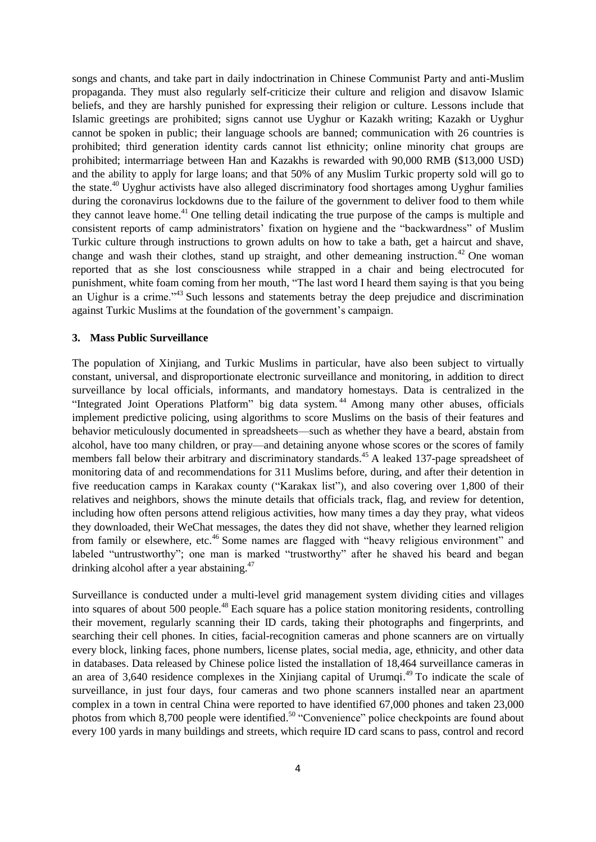songs and chants, and take part in daily indoctrination in Chinese Communist Party and anti-Muslim propaganda. They must also regularly self-criticize their culture and religion and disavow Islamic beliefs, and they are harshly punished for expressing their religion or culture. Lessons include that Islamic greetings are prohibited; signs cannot use Uyghur or Kazakh writing; Kazakh or Uyghur cannot be spoken in public; their language schools are banned; communication with 26 countries is prohibited; third generation identity cards cannot list ethnicity; online minority chat groups are prohibited; intermarriage between Han and Kazakhs is rewarded with 90,000 RMB (\$13,000 USD) and the ability to apply for large loans; and that 50% of any Muslim Turkic property sold will go to the state.<sup>40</sup> Uyghur activists have also alleged discriminatory food shortages among Uyghur families during the coronavirus lockdowns due to the failure of the government to deliver food to them while they cannot leave home.<sup>41</sup> One telling detail indicating the true purpose of the camps is multiple and consistent reports of camp administrators' fixation on hygiene and the "backwardness" of Muslim Turkic culture through instructions to grown adults on how to take a bath, get a haircut and shave, change and wash their clothes, stand up straight, and other demeaning instruction.<sup>42</sup> One woman reported that as she lost consciousness while strapped in a chair and being electrocuted for punishment, white foam coming from her mouth, "The last word I heard them saying is that you being an Uighur is a crime.<sup> $143$ </sup> Such lessons and statements betray the deep prejudice and discrimination against Turkic Muslims at the foundation of the government's campaign.

## **3. Mass Public Surveillance**

The population of Xinjiang, and Turkic Muslims in particular, have also been subject to virtually constant, universal, and disproportionate electronic surveillance and monitoring, in addition to direct surveillance by local officials, informants, and mandatory homestays. Data is centralized in the "Integrated Joint Operations Platform" big data system.<sup>44</sup> Among many other abuses, officials implement predictive policing, using algorithms to score Muslims on the basis of their features and behavior meticulously documented in spreadsheets—such as whether they have a beard, abstain from alcohol, have too many children, or pray—and detaining anyone whose scores or the scores of family members fall below their arbitrary and discriminatory standards.<sup>45</sup> A leaked 137-page spreadsheet of monitoring data of and recommendations for 311 Muslims before, during, and after their detention in five reeducation camps in Karakax county ("Karakax list"), and also covering over 1,800 of their relatives and neighbors, shows the minute details that officials track, flag, and review for detention, including how often persons attend religious activities, how many times a day they pray, what videos they downloaded, their WeChat messages, the dates they did not shave, whether they learned religion from family or elsewhere, etc.<sup>46</sup> Some names are flagged with "heavy religious environment" and labeled "untrustworthy"; one man is marked "trustworthy" after he shaved his beard and began drinking alcohol after a year abstaining.<sup>47</sup>

Surveillance is conducted under a multi-level grid management system dividing cities and villages into squares of about 500 people.<sup>48</sup> Each square has a police station monitoring residents, controlling their movement, regularly scanning their ID cards, taking their photographs and fingerprints, and searching their cell phones. In cities, facial-recognition cameras and phone scanners are on virtually every block, linking faces, phone numbers, license plates, social media, age, ethnicity, and other data in databases. Data released by Chinese police listed the installation of 18,464 surveillance cameras in an area of 3,640 residence complexes in the Xinjiang capital of Urumqi. $^{49}$  To indicate the scale of surveillance, in just four days, four cameras and two phone scanners installed near an apartment complex in a town in central China were reported to have identified 67,000 phones and taken 23,000 photos from which 8,700 people were identified.<sup>50</sup> "Convenience" police checkpoints are found about every 100 yards in many buildings and streets, which require ID card scans to pass, control and record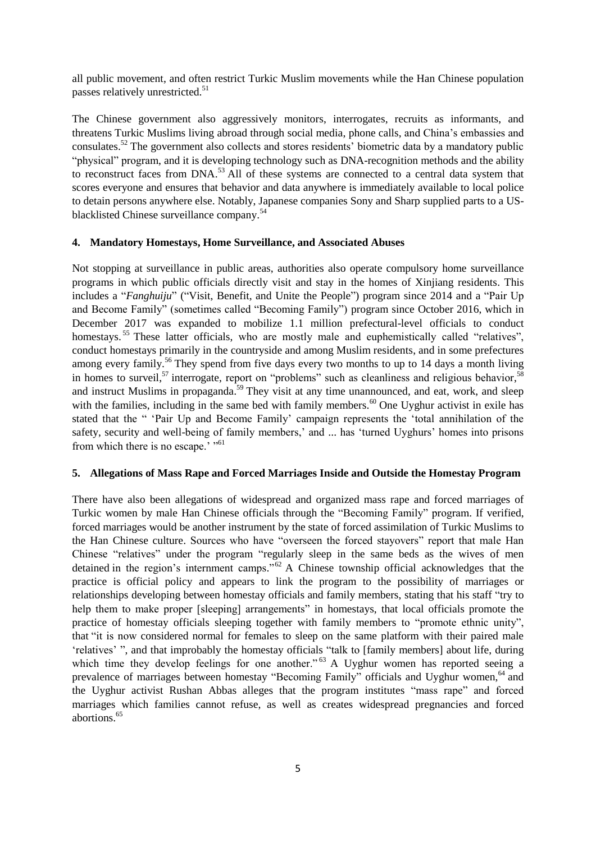all public movement, and often restrict Turkic Muslim movements while the Han Chinese population passes relatively unrestricted.<sup>51</sup>

The Chinese government also aggressively monitors, interrogates, recruits as informants, and threatens Turkic Muslims living abroad through social media, phone calls, and China's embassies and consulates.<sup>52</sup> The government also collects and stores residents' biometric data by a mandatory public "physical" program, and it is developing technology such as DNA-recognition methods and the ability to reconstruct faces from DNA.<sup>53</sup> All of these systems are connected to a central data system that scores everyone and ensures that behavior and data anywhere is immediately available to local police to detain persons anywhere else. Notably, Japanese companies Sony and Sharp supplied parts to a USblacklisted Chinese surveillance company.<sup>54</sup>

# **4. Mandatory Homestays, Home Surveillance, and Associated Abuses**

Not stopping at surveillance in public areas, authorities also operate compulsory home surveillance programs in which public officials directly visit and stay in the homes of Xinjiang residents. This includes a "*Fanghuiju*" ("Visit, Benefit, and Unite the People") program since 2014 and a "Pair Up and Become Family" (sometimes called "Becoming Family") program since October 2016, which in December 2017 was expanded to mobilize 1.1 million prefectural-level officials to conduct homestays.<sup>55</sup> These latter officials, who are mostly male and euphemistically called "relatives", conduct homestays primarily in the countryside and among Muslim residents, and in some prefectures among every family.<sup>56</sup> They spend from five days every two months to up to 14 days a month living in homes to surveil,<sup>57</sup> interrogate, report on "problems" such as cleanliness and religious behavior,<sup>58</sup> and instruct Muslims in propaganda.<sup>59</sup> They visit at any time unannounced, and eat, work, and sleep with the families, including in the same bed with family members.<sup>60</sup> One Uyghur activist in exile has stated that the " 'Pair Up and Become Family' campaign represents the 'total annihilation of the safety, security and well-being of family members,' and ... has 'turned Uyghurs' homes into prisons from which there is no escape.' "<sup>61</sup>

#### **5. Allegations of Mass Rape and Forced Marriages Inside and Outside the Homestay Program**

There have also been allegations of widespread and organized mass rape and forced marriages of Turkic women by male Han Chinese officials through the "Becoming Family" program. If verified, forced marriages would be another instrument by the state of forced assimilation of Turkic Muslims to the Han Chinese culture. Sources who have "overseen the forced stayovers" report that male Han Chinese "relatives" under the program "regularly sleep in the same beds as the wives of men detained in the region's internment camps." $62$  A Chinese township official acknowledges that the practice is official policy and appears to link the program to the possibility of marriages or relationships developing between homestay officials and family members, stating that his staff "try to help them to make proper [sleeping] arrangements" in homestays, that local officials promote the practice of homestay officials sleeping together with family members to "promote ethnic unity", that "it is now considered normal for females to sleep on the same platform with their paired male 'relatives' ", and that improbably the homestay officials "talk to [family members] about life, during which time they develop feelings for one another."<sup>63</sup> A Uyghur women has reported seeing a prevalence of marriages between homestay "Becoming Family" officials and Uyghur women,<sup>64</sup> and the Uyghur activist Rushan Abbas alleges that the program institutes "mass rape" and forced marriages which families cannot refuse, as well as creates widespread pregnancies and forced abortions.<sup>65</sup>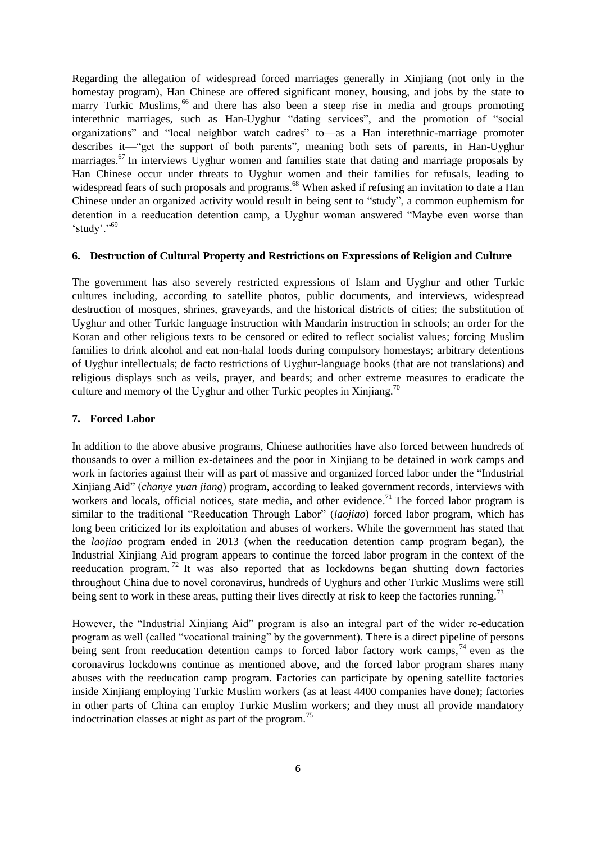Regarding the allegation of widespread forced marriages generally in Xinjiang (not only in the homestay program), Han Chinese are offered significant money, housing, and jobs by the state to marry Turkic Muslims, <sup>66</sup> and there has also been a steep rise in media and groups promoting interethnic marriages, such as Han-Uyghur "dating services", and the promotion of "social organizations" and "local neighbor watch cadres" to—as a Han interethnic-marriage promoter describes it—"get the support of both parents", meaning both sets of parents, in Han-Uyghur marriages.<sup>67</sup> In interviews Uyghur women and families state that dating and marriage proposals by Han Chinese occur under threats to Uyghur women and their families for refusals, leading to widespread fears of such proposals and programs.<sup>68</sup> When asked if refusing an invitation to date a Han Chinese under an organized activity would result in being sent to "study", a common euphemism for detention in a reeducation detention camp, a Uyghur woman answered "Maybe even worse than 'study'."<sup>69</sup>

#### **6. Destruction of Cultural Property and Restrictions on Expressions of Religion and Culture**

The government has also severely restricted expressions of Islam and Uyghur and other Turkic cultures including, according to satellite photos, public documents, and interviews, widespread destruction of mosques, shrines, graveyards, and the historical districts of cities; the substitution of Uyghur and other Turkic language instruction with Mandarin instruction in schools; an order for the Koran and other religious texts to be censored or edited to reflect socialist values; forcing Muslim families to drink alcohol and eat non-halal foods during compulsory homestays; arbitrary detentions of Uyghur intellectuals; de facto restrictions of Uyghur-language books (that are not translations) and religious displays such as veils, prayer, and beards; and other extreme measures to eradicate the culture and memory of the Uyghur and other Turkic peoples in Xinjiang.<sup>70</sup>

### **7. Forced Labor**

In addition to the above abusive programs, Chinese authorities have also forced between hundreds of thousands to over a million ex-detainees and the poor in Xinjiang to be detained in work camps and work in factories against their will as part of massive and organized forced labor under the "Industrial" Xinjiang Aid‖ (*chanye yuan jiang*) program, according to leaked government records, interviews with workers and locals, official notices, state media, and other evidence.<sup>71</sup> The forced labor program is similar to the traditional "Reeducation Through Labor" (*laojiao*) forced labor program, which has long been criticized for its exploitation and abuses of workers. While the government has stated that the *laojiao* program ended in 2013 (when the reeducation detention camp program began), the Industrial Xinjiang Aid program appears to continue the forced labor program in the context of the reeducation program. <sup>72</sup> It was also reported that as lockdowns began shutting down factories throughout China due to novel coronavirus, hundreds of Uyghurs and other Turkic Muslims were still being sent to work in these areas, putting their lives directly at risk to keep the factories running.<sup>73</sup>

However, the "Industrial Xinjiang Aid" program is also an integral part of the wider re-education program as well (called "vocational training" by the government). There is a direct pipeline of persons being sent from reeducation detention camps to forced labor factory work camps,  $^{74}$  even as the coronavirus lockdowns continue as mentioned above, and the forced labor program shares many abuses with the reeducation camp program. Factories can participate by opening satellite factories inside Xinjiang employing Turkic Muslim workers (as at least 4400 companies have done); factories in other parts of China can employ Turkic Muslim workers; and they must all provide mandatory indoctrination classes at night as part of the program.<sup>75</sup>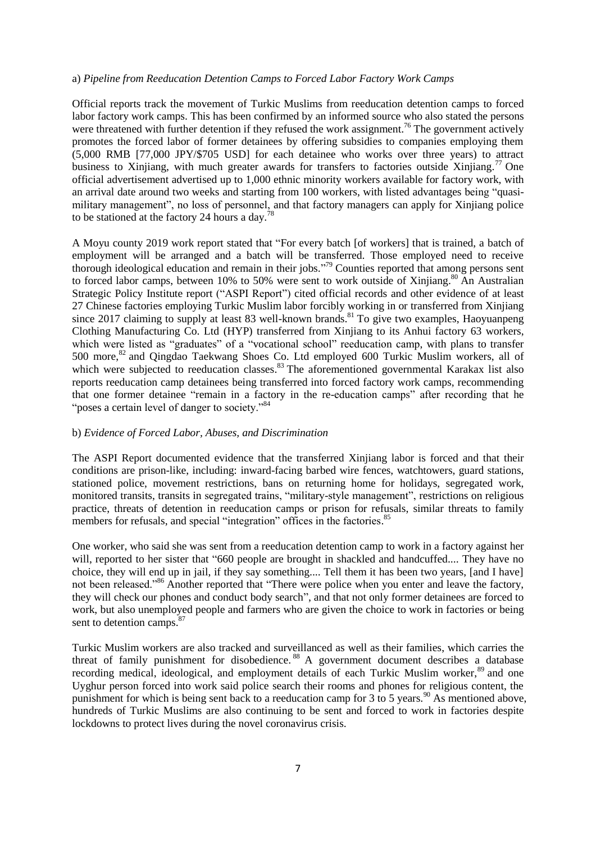#### a) *Pipeline from Reeducation Detention Camps to Forced Labor Factory Work Camps*

Official reports track the movement of Turkic Muslims from reeducation detention camps to forced labor factory work camps. This has been confirmed by an informed source who also stated the persons were threatened with further detention if they refused the work assignment.<sup>76</sup> The government actively promotes the forced labor of former detainees by offering subsidies to companies employing them (5,000 RMB [77,000 JPY/\$705 USD] for each detainee who works over three years) to attract business to Xinjiang, with much greater awards for transfers to factories outside Xinjiang.<sup>77</sup> One official advertisement advertised up to 1,000 ethnic minority workers available for factory work, with an arrival date around two weeks and starting from 100 workers, with listed advantages being "quasimilitary management", no loss of personnel, and that factory managers can apply for Xinjiang police to be stationed at the factory 24 hours a day.<sup>78</sup>

A Moyu county 2019 work report stated that "For every batch [of workers] that is trained, a batch of employment will be arranged and a batch will be transferred. Those employed need to receive thorough ideological education and remain in their jobs."<sup>79</sup> Counties reported that among persons sent to forced labor camps, between 10% to 50% were sent to work outside of Xinjiang.<sup>80</sup> An Australian Strategic Policy Institute report ("ASPI Report") cited official records and other evidence of at least 27 Chinese factories employing Turkic Muslim labor forcibly working in or transferred from Xinjiang since 2017 claiming to supply at least 83 well-known brands.<sup>81</sup> To give two examples, Haoyuanpeng Clothing Manufacturing Co. Ltd (HYP) transferred from Xinjiang to its Anhui factory 63 workers, which were listed as "graduates" of a "vocational school" reeducation camp, with plans to transfer 500 more, <sup>82</sup> and Qingdao Taekwang Shoes Co. Ltd employed 600 Turkic Muslim workers, all of which were subjected to reeducation classes. <sup>83</sup> The aforementioned governmental Karakax list also reports reeducation camp detainees being transferred into forced factory work camps, recommending that one former detainee "remain in a factory in the re-education camps" after recording that he "poses a certain level of danger to society."<sup>84</sup>

# b) *Evidence of Forced Labor, Abuses, and Discrimination*

The ASPI Report documented evidence that the transferred Xinjiang labor is forced and that their conditions are prison-like, including: inward-facing barbed wire fences, watchtowers, guard stations, stationed police, movement restrictions, bans on returning home for holidays, segregated work, monitored transits, transits in segregated trains, "military-style management", restrictions on religious practice, threats of detention in reeducation camps or prison for refusals, similar threats to family members for refusals, and special "integration" offices in the factories.<sup>85</sup>

One worker, who said she was sent from a reeducation detention camp to work in a factory against her will, reported to her sister that "660 people are brought in shackled and handcuffed.... They have no choice, they will end up in jail, if they say something.... Tell them it has been two years, [and I have] not been released."<sup>86</sup> Another reported that "There were police when you enter and leave the factory, they will check our phones and conduct body search", and that not only former detainees are forced to work, but also unemployed people and farmers who are given the choice to work in factories or being sent to detention camps.<sup>87</sup>

Turkic Muslim workers are also tracked and surveillanced as well as their families, which carries the threat of family punishment for disobedience.<sup>88</sup> A government document describes a database recording medical, ideological, and employment details of each Turkic Muslim worker,<sup>89</sup> and one Uyghur person forced into work said police search their rooms and phones for religious content, the punishment for which is being sent back to a reeducation camp for 3 to 5 years.<sup>90</sup> As mentioned above, hundreds of Turkic Muslims are also continuing to be sent and forced to work in factories despite lockdowns to protect lives during the novel coronavirus crisis.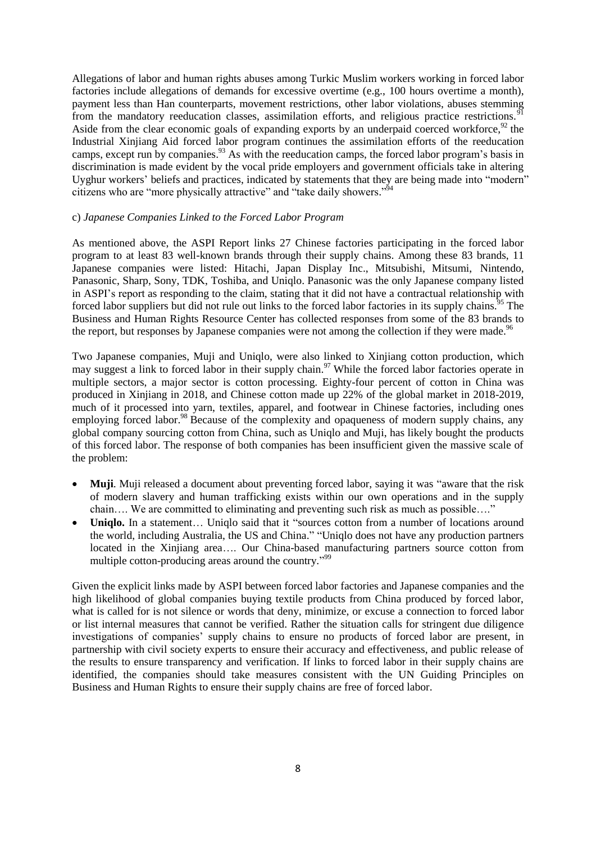Allegations of labor and human rights abuses among Turkic Muslim workers working in forced labor factories include allegations of demands for excessive overtime (e.g., 100 hours overtime a month), payment less than Han counterparts, movement restrictions, other labor violations, abuses stemming from the mandatory reeducation classes, assimilation efforts, and religious practice restrictions.<sup>91</sup> Aside from the clear economic goals of expanding exports by an underpaid coerced workforce,  $^{92}$  the Industrial Xinjiang Aid forced labor program continues the assimilation efforts of the reeducation camps, except run by companies.<sup>93</sup> As with the reeducation camps, the forced labor program's basis in discrimination is made evident by the vocal pride employers and government officials take in altering Uyghur workers' beliefs and practices, indicated by statements that they are being made into "modern" citizens who are "more physically attractive" and "take daily showers."<sup>54</sup>

#### c) *Japanese Companies Linked to the Forced Labor Program*

As mentioned above, the ASPI Report links 27 Chinese factories participating in the forced labor program to at least 83 well-known brands through their supply chains. Among these 83 brands, 11 Japanese companies were listed: Hitachi, Japan Display Inc., Mitsubishi, Mitsumi, Nintendo, Panasonic, Sharp, Sony, TDK, Toshiba, and Uniqlo. Panasonic was the only Japanese company listed in ASPI's report as responding to the claim, stating that it did not have a contractual relationship with forced labor suppliers but did not rule out links to the forced labor factories in its supply chains.<sup>95</sup> The Business and Human Rights Resource Center has collected responses from some of the 83 brands to the report, but responses by Japanese companies were not among the collection if they were made.<sup>96</sup>

Two Japanese companies, Muji and Uniqlo, were also linked to Xinjiang cotton production, which may suggest a link to forced labor in their supply chain.<sup>97</sup> While the forced labor factories operate in multiple sectors, a major sector is cotton processing. Eighty-four percent of cotton in China was produced in Xinjiang in 2018, and Chinese cotton made up 22% of the global market in 2018-2019, much of it processed into yarn, textiles, apparel, and footwear in Chinese factories, including ones employing forced labor.<sup>98</sup> Because of the complexity and opaqueness of modern supply chains, any global company sourcing cotton from China, such as Uniqlo and Muji, has likely bought the products of this forced labor. The response of both companies has been insufficient given the massive scale of the problem:

- **Muji.** Muji released a document about preventing forced labor, saying it was "aware that the risk of modern slavery and human trafficking exists within our own operations and in the supply chain…. We are committed to eliminating and preventing such risk as much as possible…."
- Uniqlo. In a statement... Uniqlo said that it "sources cotton from a number of locations around the world, including Australia, the US and China." "Uniqlo does not have any production partners located in the Xinjiang area…. Our China-based manufacturing partners source cotton from multiple cotton-producing areas around the country."<sup>99</sup>

Given the explicit links made by ASPI between forced labor factories and Japanese companies and the high likelihood of global companies buying textile products from China produced by forced labor, what is called for is not silence or words that deny, minimize, or excuse a connection to forced labor or list internal measures that cannot be verified. Rather the situation calls for stringent due diligence investigations of companies' supply chains to ensure no products of forced labor are present, in partnership with civil society experts to ensure their accuracy and effectiveness, and public release of the results to ensure transparency and verification. If links to forced labor in their supply chains are identified, the companies should take measures consistent with the UN Guiding Principles on Business and Human Rights to ensure their supply chains are free of forced labor.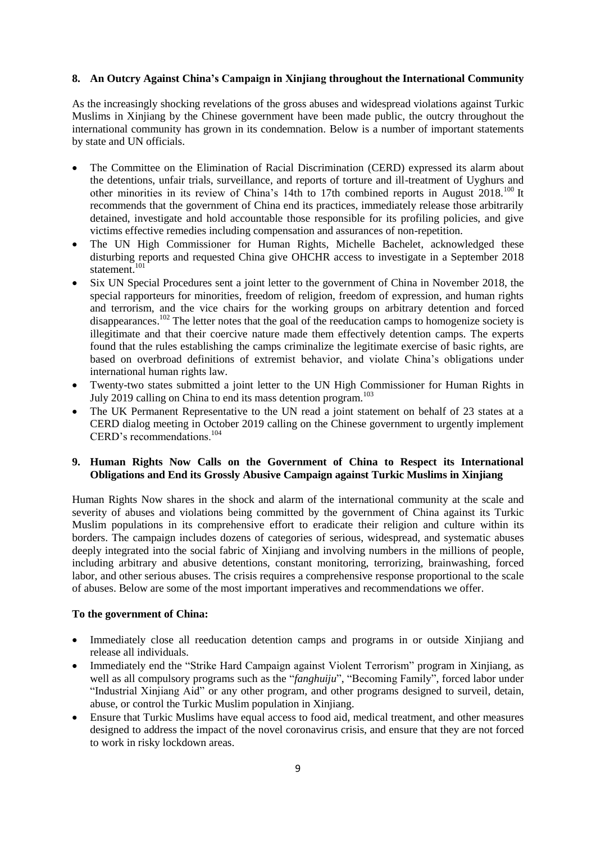# **8. An Outcry Against China's Campaign in Xinjiang throughout the International Community**

As the increasingly shocking revelations of the gross abuses and widespread violations against Turkic Muslims in Xinjiang by the Chinese government have been made public, the outcry throughout the international community has grown in its condemnation. Below is a number of important statements by state and UN officials.

- The Committee on the Elimination of Racial Discrimination (CERD) expressed its alarm about the detentions, unfair trials, surveillance, and reports of torture and ill-treatment of Uyghurs and other minorities in its review of China's 14th to 17th combined reports in August 2018.<sup>100</sup> It recommends that the government of China end its practices, immediately release those arbitrarily detained, investigate and hold accountable those responsible for its profiling policies, and give victims effective remedies including compensation and assurances of non-repetition.
- The UN High Commissioner for Human Rights, Michelle Bachelet, acknowledged these disturbing reports and requested China give OHCHR access to investigate in a September 2018 statement. 101
- Six UN Special Procedures sent a joint letter to the government of China in November 2018, the special rapporteurs for minorities, freedom of religion, freedom of expression, and human rights and terrorism, and the vice chairs for the working groups on arbitrary detention and forced disappearances.<sup>102</sup> The letter notes that the goal of the reeducation camps to homogenize society is illegitimate and that their coercive nature made them effectively detention camps. The experts found that the rules establishing the camps criminalize the legitimate exercise of basic rights, are based on overbroad definitions of extremist behavior, and violate China's obligations under international human rights law.
- Twenty-two states submitted a joint letter to the UN High Commissioner for Human Rights in July 2019 calling on China to end its mass detention program.<sup>103</sup>
- The UK Permanent Representative to the UN read a joint statement on behalf of 23 states at a CERD dialog meeting in October 2019 calling on the Chinese government to urgently implement CERD's recommendations.<sup>104</sup>

# **9. Human Rights Now Calls on the Government of China to Respect its International Obligations and End its Grossly Abusive Campaign against Turkic Muslims in Xinjiang**

Human Rights Now shares in the shock and alarm of the international community at the scale and severity of abuses and violations being committed by the government of China against its Turkic Muslim populations in its comprehensive effort to eradicate their religion and culture within its borders. The campaign includes dozens of categories of serious, widespread, and systematic abuses deeply integrated into the social fabric of Xinjiang and involving numbers in the millions of people, including arbitrary and abusive detentions, constant monitoring, terrorizing, brainwashing, forced labor, and other serious abuses. The crisis requires a comprehensive response proportional to the scale of abuses. Below are some of the most important imperatives and recommendations we offer.

#### **To the government of China:**

- Immediately close all reeducation detention camps and programs in or outside Xinjiang and release all individuals.
- Immediately end the "Strike Hard Campaign against Violent Terrorism" program in Xinjiang, as well as all compulsory programs such as the "*fanghuiju*", "Becoming Family", forced labor under "Industrial Xinjiang Aid" or any other program, and other programs designed to surveil, detain, abuse, or control the Turkic Muslim population in Xinjiang.
- Ensure that Turkic Muslims have equal access to food aid, medical treatment, and other measures designed to address the impact of the novel coronavirus crisis, and ensure that they are not forced to work in risky lockdown areas.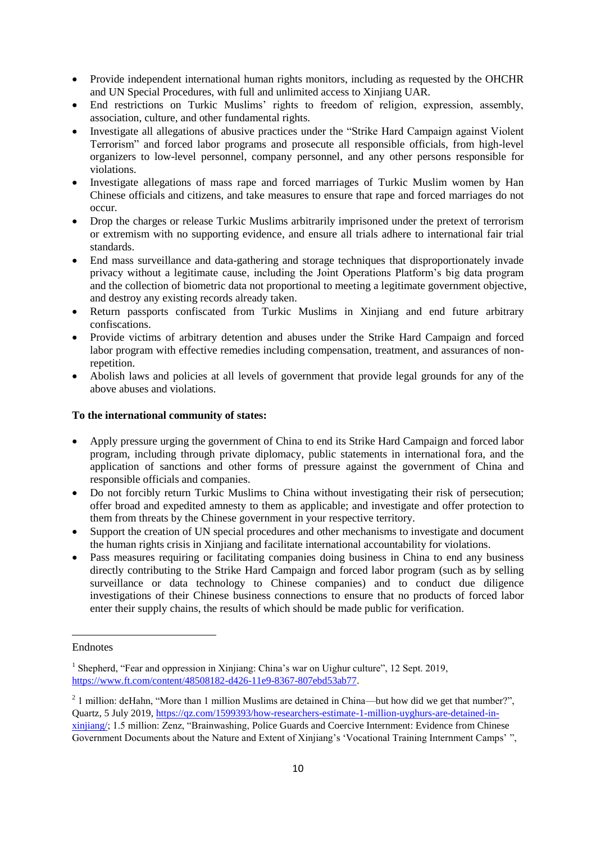- Provide independent international human rights monitors, including as requested by the OHCHR and UN Special Procedures, with full and unlimited access to Xinjiang UAR.
- End restrictions on Turkic Muslims' rights to freedom of religion, expression, assembly, association, culture, and other fundamental rights.
- Investigate all allegations of abusive practices under the "Strike Hard Campaign against Violent Terrorism" and forced labor programs and prosecute all responsible officials, from high-level organizers to low-level personnel, company personnel, and any other persons responsible for violations.
- Investigate allegations of mass rape and forced marriages of Turkic Muslim women by Han Chinese officials and citizens, and take measures to ensure that rape and forced marriages do not occur.
- Drop the charges or release Turkic Muslims arbitrarily imprisoned under the pretext of terrorism or extremism with no supporting evidence, and ensure all trials adhere to international fair trial standards.
- End mass surveillance and data-gathering and storage techniques that disproportionately invade privacy without a legitimate cause, including the Joint Operations Platform's big data program and the collection of biometric data not proportional to meeting a legitimate government objective, and destroy any existing records already taken.
- Return passports confiscated from Turkic Muslims in Xinjiang and end future arbitrary confiscations.
- Provide victims of arbitrary detention and abuses under the Strike Hard Campaign and forced labor program with effective remedies including compensation, treatment, and assurances of nonrepetition.
- Abolish laws and policies at all levels of government that provide legal grounds for any of the above abuses and violations.

# **To the international community of states:**

- Apply pressure urging the government of China to end its Strike Hard Campaign and forced labor program, including through private diplomacy, public statements in international fora, and the application of sanctions and other forms of pressure against the government of China and responsible officials and companies.
- Do not forcibly return Turkic Muslims to China without investigating their risk of persecution; offer broad and expedited amnesty to them as applicable; and investigate and offer protection to them from threats by the Chinese government in your respective territory.
- Support the creation of UN special procedures and other mechanisms to investigate and document the human rights crisis in Xinjiang and facilitate international accountability for violations.
- Pass measures requiring or facilitating companies doing business in China to end any business directly contributing to the Strike Hard Campaign and forced labor program (such as by selling surveillance or data technology to Chinese companies) and to conduct due diligence investigations of their Chinese business connections to ensure that no products of forced labor enter their supply chains, the results of which should be made public for verification.

Endnotes

1

<sup>&</sup>lt;sup>1</sup> Shepherd, "Fear and oppression in Xinjiang: China's war on Uighur culture", 12 Sept. 2019, [https://www.ft.com/content/48508182-d426-11e9-8367-807ebd53ab77.](https://www.ft.com/content/48508182-d426-11e9-8367-807ebd53ab77)

 $2$  1 million: deHahn, "More than 1 million Muslims are detained in China—but how did we get that number?", Quartz, 5 July 2019, [https://qz.com/1599393/how-researchers-estimate-1-million-uyghurs-are-detained-in](https://qz.com/1599393/how-researchers-estimate-1-million-uyghurs-are-detained-in-xinjiang/)[xinjiang/;](https://qz.com/1599393/how-researchers-estimate-1-million-uyghurs-are-detained-in-xinjiang/) 1.5 million: Zenz, "Brainwashing, Police Guards and Coercive Internment: Evidence from Chinese Government Documents about the Nature and Extent of Xinjiang's 'Vocational Training Internment Camps'",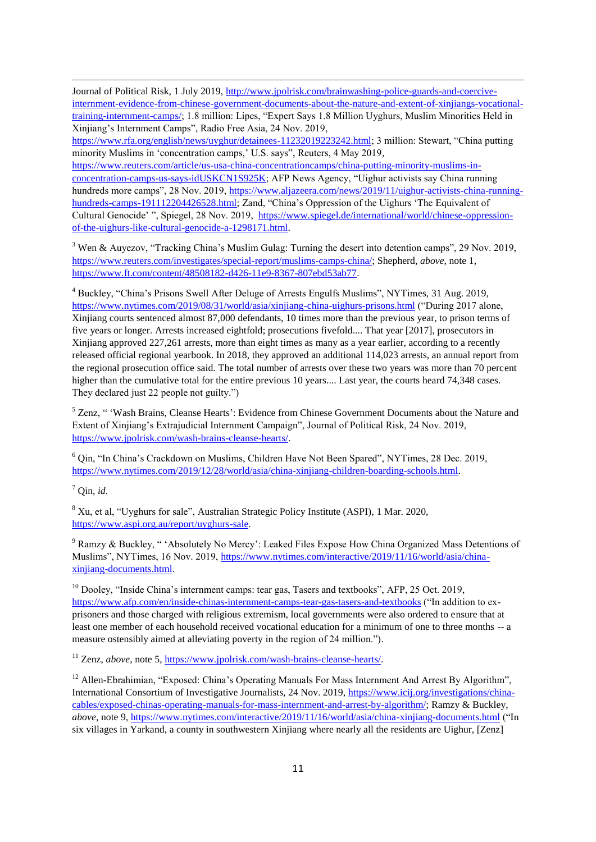Journal of Political Risk, 1 July 2019, [http://www.jpolrisk.com/brainwashing-police-guards-and-coercive](http://www.jpolrisk.com/brainwashing-police-guards-and-coercive-internment-evidence-from-chinese-government-documents-about-the-nature-and-extent-of-xinjiangs-vocational-training-internment-camps/)[internment-evidence-from-chinese-government-documents-about-the-nature-and-extent-of-xinjiangs-vocational](http://www.jpolrisk.com/brainwashing-police-guards-and-coercive-internment-evidence-from-chinese-government-documents-about-the-nature-and-extent-of-xinjiangs-vocational-training-internment-camps/)[training-internment-camps/;](http://www.jpolrisk.com/brainwashing-police-guards-and-coercive-internment-evidence-from-chinese-government-documents-about-the-nature-and-extent-of-xinjiangs-vocational-training-internment-camps/) 1.8 million: Lipes, "Expert Says 1.8 Million Uyghurs, Muslim Minorities Held in Xinjiang's Internment Camps‖, Radio Free Asia, 24 Nov. 2019,

[https://www.rfa.org/english/news/uyghur/detainees-11232019223242.html;](https://www.rfa.org/english/news/uyghur/detainees-11232019223242.html) 3 million: Stewart, "China putting minority Muslims in 'concentration camps,' U.S. says", Reuters, 4 May 2019,

[https://www.reuters.com/article/us-usa-china-concentrationcamps/china-putting-minority-muslims-in](https://www.reuters.com/article/us-usa-china-concentrationcamps/china-putting-minority-muslims-in-concentration-camps-us-says-idUSKCN1S925K)[concentration-camps-us-says-idUSKCN1S925K;](https://www.reuters.com/article/us-usa-china-concentrationcamps/china-putting-minority-muslims-in-concentration-camps-us-says-idUSKCN1S925K) AFP News Agency, "Uighur activists say China running hundreds more camps", 28 Nov. 2019, [https://www.aljazeera.com/news/2019/11/uighur-activists-china-running](https://www.aljazeera.com/news/2019/11/uighur-activists-china-running-hundreds-camps-191112204426528.html)[hundreds-camps-191112204426528.html;](https://www.aljazeera.com/news/2019/11/uighur-activists-china-running-hundreds-camps-191112204426528.html) Zand, "China's Oppression of the Uighurs 'The Equivalent of Cultural Genocide' ", Spiegel, 28 Nov. 2019, [https://www.spiegel.de/international/world/chinese-oppression](https://www.spiegel.de/international/world/chinese-oppression-of-the-uighurs-like-cultural-genocide-a-1298171.html)[of-the-uighurs-like-cultural-genocide-a-1298171.html.](https://www.spiegel.de/international/world/chinese-oppression-of-the-uighurs-like-cultural-genocide-a-1298171.html)

<sup>3</sup> Wen & Auvezov, "Tracking China's Muslim Gulag: Turning the desert into detention camps", 29 Nov. 2019, [https://www.reuters.com/investigates/special-report/muslims-camps-china/;](https://www.reuters.com/investigates/special-report/muslims-camps-china/) Shepherd, *above*, note 1, [https://www.ft.com/content/48508182-d426-11e9-8367-807ebd53ab77.](https://www.ft.com/content/48508182-d426-11e9-8367-807ebd53ab77)

<sup>4</sup> Buckley, "China's Prisons Swell After Deluge of Arrests Engulfs Muslims", NYTimes, 31 Aug. 2019, <https://www.nytimes.com/2019/08/31/world/asia/xinjiang-china-uighurs-prisons.html> ("During 2017 alone, Xinjiang courts sentenced almost 87,000 defendants, 10 times more than the previous year, to prison terms of five years or longer. Arrests increased eightfold; prosecutions fivefold.... That year [2017], prosecutors in Xinjiang approved 227,261 arrests, more than eight times as many as a year earlier, according to a recently released official regional yearbook. In 2018, they approved an additional 114,023 arrests, an annual report from the regional prosecution office said. The total number of arrests over these two years was more than 70 percent higher than the cumulative total for the entire previous 10 years.... Last year, the courts heard 74,348 cases. They declared just 22 people not guilty."

 $5$  Zenz, "Wash Brains, Cleanse Hearts': Evidence from Chinese Government Documents about the Nature and Extent of Xinjiang's Extrajudicial Internment Campaign", Journal of Political Risk, 24 Nov. 2019, [https://www.jpolrisk.com/wash-brains-cleanse-hearts/.](https://www.jpolrisk.com/wash-brains-cleanse-hearts/)

<sup>6</sup> Qin, "In China's Crackdown on Muslims, Children Have Not Been Spared", NYTimes, 28 Dec. 2019, [https://www.nytimes.com/2019/12/28/world/asia/china-xinjiang-children-boarding-schools.html.](https://www.nytimes.com/2019/12/28/world/asia/china-xinjiang-children-boarding-schools.html)

 $^7$  Oin, *id.* 

1

<sup>8</sup> Xu, et al, "Uyghurs for sale", Australian Strategic Policy Institute (ASPI), 1 Mar. 2020, [https://www.aspi.org.au/report/uyghurs-sale.](https://www.aspi.org.au/report/uyghurs-sale)

<sup>9</sup> Ramzy & Buckley, "Absolutely No Mercy': Leaked Files Expose How China Organized Mass Detentions of Muslims‖, NYTimes, 16 Nov. 2019, [https://www.nytimes.com/interactive/2019/11/16/world/asia/china](https://www.nytimes.com/interactive/2019/11/16/world/asia/china-xinjiang-documents.html)[xinjiang-documents.html.](https://www.nytimes.com/interactive/2019/11/16/world/asia/china-xinjiang-documents.html)

 $10$  Dooley, "Inside China's internment camps: tear gas, Tasers and textbooks", AFP, 25 Oct. 2019, <https://www.afp.com/en/inside-chinas-internment-camps-tear-gas-tasers-and-textbooks> ("In addition to exprisoners and those charged with religious extremism, local governments were also ordered to ensure that at least one member of each household received vocational education for a minimum of one to three months -- a measure ostensibly aimed at alleviating poverty in the region of 24 million.").

<sup>11</sup> Zenz, *above*, note 5[, https://www.jpolrisk.com/wash-brains-cleanse-hearts/.](https://www.jpolrisk.com/wash-brains-cleanse-hearts/)

<sup>12</sup> Allen-Ebrahimian, "Exposed: China's Operating Manuals For Mass Internment And Arrest By Algorithm", International Consortium of Investigative Journalists, 24 Nov. 2019, [https://www.icij.org/investigations/china](https://www.icij.org/investigations/china-cables/exposed-chinas-operating-manuals-for-mass-internment-and-arrest-by-algorithm/)[cables/exposed-chinas-operating-manuals-for-mass-internment-and-arrest-by-algorithm/;](https://www.icij.org/investigations/china-cables/exposed-chinas-operating-manuals-for-mass-internment-and-arrest-by-algorithm/) Ramzy & Buckley, *above*, note 9[, https://www.nytimes.com/interactive/2019/11/16/world/asia/china-xinjiang-documents.html](https://www.nytimes.com/interactive/2019/11/16/world/asia/china-xinjiang-documents.html) ("In six villages in Yarkand, a county in southwestern Xinjiang where nearly all the residents are Uighur, [Zenz]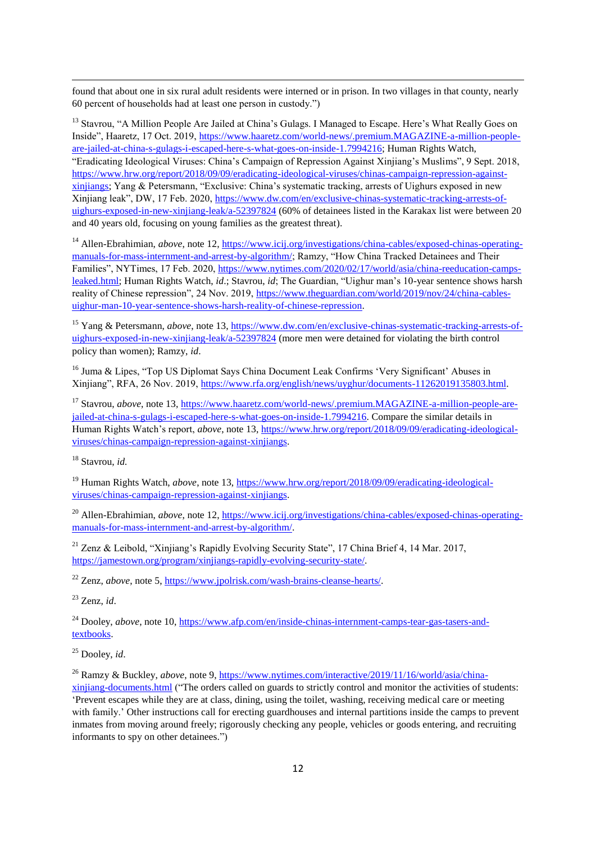found that about one in six rural adult residents were interned or in prison. In two villages in that county, nearly 60 percent of households had at least one person in custody.")

<sup>13</sup> Stavrou, "A Million People Are Jailed at China's Gulags. I Managed to Escape. Here's What Really Goes on Inside‖, Haaretz, 17 Oct. 2019, [https://www.haaretz.com/world-news/.premium.MAGAZINE-a-million-people](https://www.haaretz.com/world-news/.premium.MAGAZINE-a-million-people-are-jailed-at-china-s-gulags-i-escaped-here-s-what-goes-on-inside-1.7994216)[are-jailed-at-china-s-gulags-i-escaped-here-s-what-goes-on-inside-1.7994216;](https://www.haaretz.com/world-news/.premium.MAGAZINE-a-million-people-are-jailed-at-china-s-gulags-i-escaped-here-s-what-goes-on-inside-1.7994216) Human Rights Watch, ―Eradicating Ideological Viruses: China's Campaign of Repression Against Xinjiang's Muslims‖, 9 Sept. 2018, [https://www.hrw.org/report/2018/09/09/eradicating-ideological-viruses/chinas-campaign-repression-against](https://www.hrw.org/report/2018/09/09/eradicating-ideological-viruses/chinas-campaign-repression-against-xinjiangs)[xinjiangs;](https://www.hrw.org/report/2018/09/09/eradicating-ideological-viruses/chinas-campaign-repression-against-xinjiangs) Yang & Petersmann, "Exclusive: China's systematic tracking, arrests of Uighurs exposed in new Xinjiang leak‖, DW, 17 Feb. 2020[, https://www.dw.com/en/exclusive-chinas-systematic-tracking-arrests-of](https://www.dw.com/en/exclusive-chinas-systematic-tracking-arrests-of-uighurs-exposed-in-new-xinjiang-leak/a-52397824)[uighurs-exposed-in-new-xinjiang-leak/a-52397824](https://www.dw.com/en/exclusive-chinas-systematic-tracking-arrests-of-uighurs-exposed-in-new-xinjiang-leak/a-52397824) (60% of detainees listed in the Karakax list were between 20 and 40 years old, focusing on young families as the greatest threat).

<sup>14</sup> Allen-Ebrahimian, *above*, note 12, [https://www.icij.org/investigations/china-cables/exposed-chinas-operating](https://www.icij.org/investigations/china-cables/exposed-chinas-operating-manuals-for-mass-internment-and-arrest-by-algorithm/)[manuals-for-mass-internment-and-arrest-by-algorithm/;](https://www.icij.org/investigations/china-cables/exposed-chinas-operating-manuals-for-mass-internment-and-arrest-by-algorithm/) Ramzy, "How China Tracked Detainees and Their Families", NYTimes, 17 Feb. 2020, [https://www.nytimes.com/2020/02/17/world/asia/china-reeducation-camps](https://www.nytimes.com/2020/02/17/world/asia/china-reeducation-camps-leaked.html)[leaked.html;](https://www.nytimes.com/2020/02/17/world/asia/china-reeducation-camps-leaked.html) Human Rights Watch, *id*.; Stavrou, *id*; The Guardian, "Uighur man's 10-year sentence shows harsh reality of Chinese repression", 24 Nov. 2019, [https://www.theguardian.com/world/2019/nov/24/china-cables](https://www.theguardian.com/world/2019/nov/24/china-cables-uighur-man-10-year-sentence-shows-harsh-reality-of-chinese-repression)[uighur-man-10-year-sentence-shows-harsh-reality-of-chinese-repression.](https://www.theguardian.com/world/2019/nov/24/china-cables-uighur-man-10-year-sentence-shows-harsh-reality-of-chinese-repression)

<sup>15</sup> Yang & Petersmann, *above*, note 13[, https://www.dw.com/en/exclusive-chinas-systematic-tracking-arrests-of](https://www.dw.com/en/exclusive-chinas-systematic-tracking-arrests-of-uighurs-exposed-in-new-xinjiang-leak/a-52397824)[uighurs-exposed-in-new-xinjiang-leak/a-52397824](https://www.dw.com/en/exclusive-chinas-systematic-tracking-arrests-of-uighurs-exposed-in-new-xinjiang-leak/a-52397824) (more men were detained for violating the birth control policy than women); Ramzy, *id*.

<sup>16</sup> Juma & Lipes, "Top US Diplomat Says China Document Leak Confirms 'Very Significant' Abuses in Xinjiang‖, RFA, 26 Nov. 2019, [https://www.rfa.org/english/news/uyghur/documents-11262019135803.html.](https://www.rfa.org/english/news/uyghur/documents-11262019135803.html)

<sup>17</sup> Stavrou, *above*, note 13[, https://www.haaretz.com/world-news/.premium.MAGAZINE-a-million-people-are](https://www.haaretz.com/world-news/.premium.MAGAZINE-a-million-people-are-jailed-at-china-s-gulags-i-escaped-here-s-what-goes-on-inside-1.7994216)[jailed-at-china-s-gulags-i-escaped-here-s-what-goes-on-inside-1.7994216.](https://www.haaretz.com/world-news/.premium.MAGAZINE-a-million-people-are-jailed-at-china-s-gulags-i-escaped-here-s-what-goes-on-inside-1.7994216) Compare the similar details in Human Rights Watch's report, *above*, note 13, [https://www.hrw.org/report/2018/09/09/eradicating-ideological](https://www.hrw.org/report/2018/09/09/eradicating-ideological-viruses/chinas-campaign-repression-against-xinjiangs)[viruses/chinas-campaign-repression-against-xinjiangs.](https://www.hrw.org/report/2018/09/09/eradicating-ideological-viruses/chinas-campaign-repression-against-xinjiangs)

<sup>18</sup> Stavrou, *id.*

1

<sup>19</sup> Human Rights Watch, *above*, note 13, [https://www.hrw.org/report/2018/09/09/eradicating-ideological](https://www.hrw.org/report/2018/09/09/eradicating-ideological-viruses/chinas-campaign-repression-against-xinjiangs)[viruses/chinas-campaign-repression-against-xinjiangs.](https://www.hrw.org/report/2018/09/09/eradicating-ideological-viruses/chinas-campaign-repression-against-xinjiangs)

<sup>20</sup> Allen-Ebrahimian, *above*, note 12, [https://www.icij.org/investigations/china-cables/exposed-chinas-operating](https://www.icij.org/investigations/china-cables/exposed-chinas-operating-manuals-for-mass-internment-and-arrest-by-algorithm/)[manuals-for-mass-internment-and-arrest-by-algorithm/.](https://www.icij.org/investigations/china-cables/exposed-chinas-operating-manuals-for-mass-internment-and-arrest-by-algorithm/)

<sup>21</sup> Zenz & Leibold, "Xinijang's Rapidly Evolving Security State", 17 China Brief 4, 14 Mar. 2017, [https://jamestown.org/program/xinjiangs-rapidly-evolving-security-state/.](https://jamestown.org/program/xinjiangs-rapidly-evolving-security-state/)

<sup>22</sup> Zenz, *above*, note 5[, https://www.jpolrisk.com/wash-brains-cleanse-hearts/.](https://www.jpolrisk.com/wash-brains-cleanse-hearts/)

<sup>23</sup> Zenz, *id*.

<sup>24</sup> Dooley, *above*, note 10, [https://www.afp.com/en/inside-chinas-internment-camps-tear-gas-tasers-and](https://www.afp.com/en/inside-chinas-internment-camps-tear-gas-tasers-and-textbooks)[textbooks.](https://www.afp.com/en/inside-chinas-internment-camps-tear-gas-tasers-and-textbooks)

<sup>25</sup> Dooley, *id*.

<sup>26</sup> Ramzy & Buckley, *above*, note 9, [https://www.nytimes.com/interactive/2019/11/16/world/asia/china-](https://www.nytimes.com/interactive/2019/11/16/world/asia/china-xinjiang-documents.html)

[xinjiang-documents.html](https://www.nytimes.com/interactive/2019/11/16/world/asia/china-xinjiang-documents.html) ("The orders called on guards to strictly control and monitor the activities of students: ‗Prevent escapes while they are at class, dining, using the toilet, washing, receiving medical care or meeting with family.' Other instructions call for erecting guardhouses and internal partitions inside the camps to prevent inmates from moving around freely; rigorously checking any people, vehicles or goods entering, and recruiting informants to spy on other detainees.")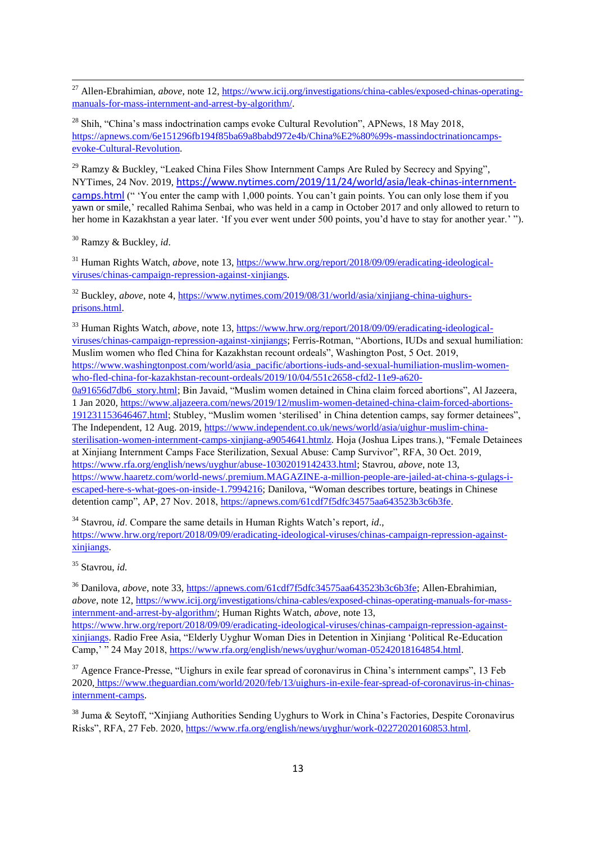<sup>27</sup> Allen-Ebrahimian, *above*, note 12, [https://www.icij.org/investigations/china-cables/exposed-chinas-operating](https://www.icij.org/investigations/china-cables/exposed-chinas-operating-manuals-for-mass-internment-and-arrest-by-algorithm/)[manuals-for-mass-internment-and-arrest-by-algorithm/.](https://www.icij.org/investigations/china-cables/exposed-chinas-operating-manuals-for-mass-internment-and-arrest-by-algorithm/)

 $^{28}$  Shih, "China's mass indoctrination camps evoke Cultural Revolution", APNews, 18 May 2018, [https://apnews.com/6e151296fb194f85ba69a8babd972e4b/China%E2%80%99s-massindoctrinationcamps](https://apnews.com/6e151296fb194f85ba69a8babd972e4b/China%E2%80%99s-massindoctrinationcamps-evoke-Cultural-Revolution)[evoke-Cultural-Revolution.](https://apnews.com/6e151296fb194f85ba69a8babd972e4b/China%E2%80%99s-massindoctrinationcamps-evoke-Cultural-Revolution)

 $^{29}$  Ramzy & Buckley, "Leaked China Files Show Internment Camps Are Ruled by Secrecy and Spying", NYTimes, 24 Nov. 2019, [https://www.nytimes.com/2019/11/24/world/asia/leak-chinas-internment](https://www.nytimes.com/2019/11/24/world/asia/leak-chinas-internment-camps.html)[camps.html](https://www.nytimes.com/2019/11/24/world/asia/leak-chinas-internment-camps.html) ("You enter the camp with 1,000 points. You can't gain points. You can only lose them if you yawn or smile,' recalled Rahima Senbai, who was held in a camp in October 2017 and only allowed to return to her home in Kazakhstan a year later. 'If you ever went under 500 points, you'd have to stay for another year.'").

<sup>30</sup> Ramzy & Buckley*, id*.

1

<sup>31</sup> Human Rights Watch, *above*, note 13, [https://www.hrw.org/report/2018/09/09/eradicating-ideological](https://www.hrw.org/report/2018/09/09/eradicating-ideological-viruses/chinas-campaign-repression-against-xinjiangs)[viruses/chinas-campaign-repression-against-xinjiangs.](https://www.hrw.org/report/2018/09/09/eradicating-ideological-viruses/chinas-campaign-repression-against-xinjiangs)

<sup>32</sup> Buckley, *above*, note 4, [https://www.nytimes.com/2019/08/31/world/asia/xinjiang-china-uighurs](https://www.nytimes.com/2019/08/31/world/asia/xinjiang-china-uighurs-prisons.html)[prisons.html.](https://www.nytimes.com/2019/08/31/world/asia/xinjiang-china-uighurs-prisons.html)

<sup>33</sup> Human Rights Watch, *above*, note 13, [https://www.hrw.org/report/2018/09/09/eradicating-ideological](https://www.hrw.org/report/2018/09/09/eradicating-ideological-viruses/chinas-campaign-repression-against-xinjiangs)[viruses/chinas-campaign-repression-against-xinjiangs;](https://www.hrw.org/report/2018/09/09/eradicating-ideological-viruses/chinas-campaign-repression-against-xinjiangs) Ferris-Rotman, "Abortions, IUDs and sexual humiliation: Muslim women who fled China for Kazakhstan recount ordeals", Washington Post, 5 Oct. 2019, [https://www.washingtonpost.com/world/asia\\_pacific/abortions-iuds-and-sexual-humiliation-muslim-women](https://www.washingtonpost.com/world/asia_pacific/abortions-iuds-and-sexual-humiliation-muslim-women-who-fled-china-for-kazakhstan-recount-ordeals/2019/10/04/551c2658-cfd2-11e9-a620-0a91656d7db6_story.html)[who-fled-china-for-kazakhstan-recount-ordeals/2019/10/04/551c2658-cfd2-11e9-a620-](https://www.washingtonpost.com/world/asia_pacific/abortions-iuds-and-sexual-humiliation-muslim-women-who-fled-china-for-kazakhstan-recount-ordeals/2019/10/04/551c2658-cfd2-11e9-a620-0a91656d7db6_story.html) [0a91656d7db6\\_story.html;](https://www.washingtonpost.com/world/asia_pacific/abortions-iuds-and-sexual-humiliation-muslim-women-who-fled-china-for-kazakhstan-recount-ordeals/2019/10/04/551c2658-cfd2-11e9-a620-0a91656d7db6_story.html) Bin Javaid, "Muslim women detained in China claim forced abortions", Al Jazeera, 1 Jan 2020, [https://www.aljazeera.com/news/2019/12/muslim-women-detained-china-claim-forced-abortions-](https://www.aljazeera.com/news/2019/12/muslim-women-detained-china-claim-forced-abortions-191231153646467.html)[191231153646467.html;](https://www.aljazeera.com/news/2019/12/muslim-women-detained-china-claim-forced-abortions-191231153646467.html) Stubley, "Muslim women 'sterilised' in China detention camps, say former detainees", The Independent, 12 Aug. 2019, [https://www.independent.co.uk/news/world/asia/uighur-muslim-china](https://www.independent.co.uk/news/world/asia/uighur-muslim-china-sterilisation-women-internment-camps-xinjiang-a9054641.html)[sterilisation-women-internment-camps-xinjiang-a9054641.htmlz](https://www.independent.co.uk/news/world/asia/uighur-muslim-china-sterilisation-women-internment-camps-xinjiang-a9054641.html). Hoja (Joshua Lipes trans.), "Female Detainees at Xinjiang Internment Camps Face Sterilization, Sexual Abuse: Camp Survivor", RFA, 30 Oct. 2019, [https://www.rfa.org/english/news/uyghur/abuse-10302019142433.html;](https://www.rfa.org/english/news/uyghur/abuse-10302019142433.html) Stavrou, *above*, note 13, [https://www.haaretz.com/world-news/.premium.MAGAZINE-a-million-people-are-jailed-at-china-s-gulags-i](https://www.haaretz.com/world-news/.premium.MAGAZINE-a-million-people-are-jailed-at-china-s-gulags-i-escaped-here-s-what-goes-on-inside-1.7994216)[escaped-here-s-what-goes-on-inside-1.7994216;](https://www.haaretz.com/world-news/.premium.MAGAZINE-a-million-people-are-jailed-at-china-s-gulags-i-escaped-here-s-what-goes-on-inside-1.7994216) Danilova, "Woman describes torture, beatings in Chinese detention camp", AP, 27 Nov. 2018, [https://apnews.com/61cdf7f5dfc34575aa643523b3c6b3fe.](https://apnews.com/61cdf7f5dfc34575aa643523b3c6b3fe)

<sup>34</sup> Stavrou, *id*. Compare the same details in Human Rights Watch's report, *id*., [https://www.hrw.org/report/2018/09/09/eradicating-ideological-viruses/chinas-campaign-repression-against](https://www.hrw.org/report/2018/09/09/eradicating-ideological-viruses/chinas-campaign-repression-against-xinjiangs)[xinjiangs.](https://www.hrw.org/report/2018/09/09/eradicating-ideological-viruses/chinas-campaign-repression-against-xinjiangs)

<sup>35</sup> Stavrou, *id.*

<sup>36</sup> Danilova, *above*, note 33, [https://apnews.com/61cdf7f5dfc34575aa643523b3c6b3fe;](https://apnews.com/61cdf7f5dfc34575aa643523b3c6b3fe) Allen-Ebrahimian, *above*, note 12[, https://www.icij.org/investigations/china-cables/exposed-chinas-operating-manuals-for-mass](https://www.icij.org/investigations/china-cables/exposed-chinas-operating-manuals-for-mass-internment-and-arrest-by-algorithm/)[internment-and-arrest-by-algorithm/;](https://www.icij.org/investigations/china-cables/exposed-chinas-operating-manuals-for-mass-internment-and-arrest-by-algorithm/) Human Rights Watch, *above*, note 13,

[https://www.hrw.org/report/2018/09/09/eradicating-ideological-viruses/chinas-campaign-repression-against](https://www.hrw.org/report/2018/09/09/eradicating-ideological-viruses/chinas-campaign-repression-against-xinjiangs)[xinjiangs.](https://www.hrw.org/report/2018/09/09/eradicating-ideological-viruses/chinas-campaign-repression-against-xinjiangs) Radio Free Asia, ―Elderly Uyghur Woman Dies in Detention in Xinjiang ‗Political Re-Education Camp, "24 May 2018, [https://www.rfa.org/english/news/uyghur/woman-05242018164854.html.](https://www.rfa.org/english/news/uyghur/woman-05242018164854.html)

 $37$  Agence France-Presse, "Uighurs in exile fear spread of coronavirus in China's internment camps", 13 Feb 2020, [https://www.theguardian.com/world/2020/feb/13/uighurs-in-exile-fear-spread-of-coronavirus-in-chinas](https://www.theguardian.com/world/2020/feb/13/uighurs-in-exile-fear-spread-of-coronavirus-in-chinas-internment-camps)[internment-camps.](https://www.theguardian.com/world/2020/feb/13/uighurs-in-exile-fear-spread-of-coronavirus-in-chinas-internment-camps)

<sup>38</sup> Juma & Seytoff, "Xinjiang Authorities Sending Uyghurs to Work in China's Factories, Despite Coronavirus Risks‖, RFA, 27 Feb. 2020[, https://www.rfa.org/english/news/uyghur/work-02272020160853.html.](https://www.rfa.org/english/news/uyghur/work-02272020160853.html)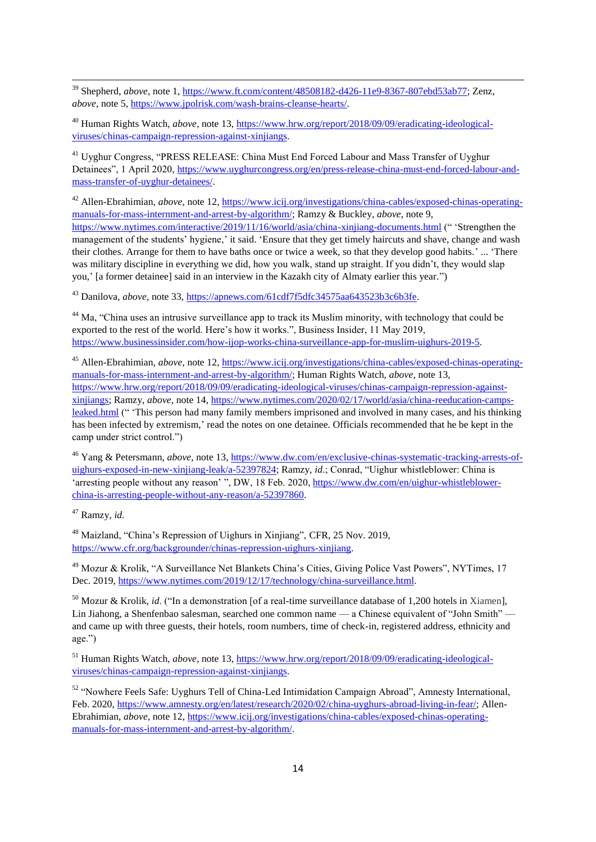<sup>39</sup> Shepherd, *above*, note 1, [https://www.ft.com/content/48508182-d426-11e9-8367-807ebd53ab77;](https://www.ft.com/content/48508182-d426-11e9-8367-807ebd53ab77) Zenz, *above*, note 5[, https://www.jpolrisk.com/wash-brains-cleanse-hearts/.](https://www.jpolrisk.com/wash-brains-cleanse-hearts/)

<sup>40</sup> Human Rights Watch, *above*, note 13, [https://www.hrw.org/report/2018/09/09/eradicating-ideological](https://www.hrw.org/report/2018/09/09/eradicating-ideological-viruses/chinas-campaign-repression-against-xinjiangs)[viruses/chinas-campaign-repression-against-xinjiangs.](https://www.hrw.org/report/2018/09/09/eradicating-ideological-viruses/chinas-campaign-repression-against-xinjiangs)

<sup>41</sup> Uyghur Congress, "PRESS RELEASE: China Must End Forced Labour and Mass Transfer of Uyghur Detainees", 1 April 2020, [https://www.uyghurcongress.org/en/press-release-china-must-end-forced-labour-and](https://www.uyghurcongress.org/en/press-release-china-must-end-forced-labour-and-mass-transfer-of-uyghur-detainees/)[mass-transfer-of-uyghur-detainees/.](https://www.uyghurcongress.org/en/press-release-china-must-end-forced-labour-and-mass-transfer-of-uyghur-detainees/)

<sup>42</sup> Allen-Ebrahimian, *above*, note 12, [https://www.icij.org/investigations/china-cables/exposed-chinas-operating](https://www.icij.org/investigations/china-cables/exposed-chinas-operating-manuals-for-mass-internment-and-arrest-by-algorithm/)[manuals-for-mass-internment-and-arrest-by-algorithm/;](https://www.icij.org/investigations/china-cables/exposed-chinas-operating-manuals-for-mass-internment-and-arrest-by-algorithm/) Ramzy & Buckley, *above*, note 9, <https://www.nytimes.com/interactive/2019/11/16/world/asia/china-xinjiang-documents.html> ("Strengthen the management of the students' hygiene,' it said. 'Ensure that they get timely haircuts and shave, change and wash their clothes. Arrange for them to have baths once or twice a week, so that they develop good habits.' ... ‗There was military discipline in everything we did, how you walk, stand up straight. If you didn't, they would slap you,' [a former detainee] said in an interview in the Kazakh city of Almaty earlier this year.")

<sup>43</sup> Danilova, *above*, note 33, [https://apnews.com/61cdf7f5dfc34575aa643523b3c6b3fe.](https://apnews.com/61cdf7f5dfc34575aa643523b3c6b3fe)

<sup>44</sup> Ma, "China uses an intrusive surveillance app to track its Muslim minority, with technology that could be exported to the rest of the world. Here's how it works.", Business Insider, 11 May 2019, [https://www.businessinsider.com/how-ijop-works-china-surveillance-app-for-muslim-uighurs-2019-5.](https://www.businessinsider.com/how-ijop-works-china-surveillance-app-for-muslim-uighurs-2019-5)

<sup>45</sup> Allen-Ebrahimian, *above*, note 12, [https://www.icij.org/investigations/china-cables/exposed-chinas-operating](https://www.icij.org/investigations/china-cables/exposed-chinas-operating-manuals-for-mass-internment-and-arrest-by-algorithm/)[manuals-for-mass-internment-and-arrest-by-algorithm/;](https://www.icij.org/investigations/china-cables/exposed-chinas-operating-manuals-for-mass-internment-and-arrest-by-algorithm/) Human Rights Watch, *above*, note 13, [https://www.hrw.org/report/2018/09/09/eradicating-ideological-viruses/chinas-campaign-repression-against](https://www.hrw.org/report/2018/09/09/eradicating-ideological-viruses/chinas-campaign-repression-against-xinjiangs)[xinjiangs;](https://www.hrw.org/report/2018/09/09/eradicating-ideological-viruses/chinas-campaign-repression-against-xinjiangs) Ramzy, *above*, note 14, [https://www.nytimes.com/2020/02/17/world/asia/china-reeducation-camps](https://www.nytimes.com/2020/02/17/world/asia/china-reeducation-camps-leaked.html)[leaked.html](https://www.nytimes.com/2020/02/17/world/asia/china-reeducation-camps-leaked.html) (" This person had many family members imprisoned and involved in many cases, and his thinking has been infected by extremism,' read the notes on one detainee. Officials recommended that he be kept in the camp under strict control.")

<sup>46</sup> Yang & Petersmann, *above*, note 13, [https://www.dw.com/en/exclusive-chinas-systematic-tracking-arrests-of](https://www.dw.com/en/exclusive-chinas-systematic-tracking-arrests-of-uighurs-exposed-in-new-xinjiang-leak/a-52397824)[uighurs-exposed-in-new-xinjiang-leak/a-52397824;](https://www.dw.com/en/exclusive-chinas-systematic-tracking-arrests-of-uighurs-exposed-in-new-xinjiang-leak/a-52397824) Ramzy, *id.*; Conrad, "Uighur whistleblower: China is 'arresting people without any reason' ", DW, 18 Feb. 2020[, https://www.dw.com/en/uighur-whistleblower](https://www.dw.com/en/uighur-whistleblower-china-is-arresting-people-without-any-reason/a-52397860)[china-is-arresting-people-without-any-reason/a-52397860.](https://www.dw.com/en/uighur-whistleblower-china-is-arresting-people-without-any-reason/a-52397860)

<sup>47</sup> Ramzy, *id.*

1

<sup>48</sup> Maizland, "China's Repression of Uighurs in Xinjiang", CFR, 25 Nov. 2019, [https://www.cfr.org/backgrounder/chinas-repression-uighurs-xinjiang.](https://www.cfr.org/backgrounder/chinas-repression-uighurs-xinjiang)

<sup>49</sup> Mozur & Krolik, "A Surveillance Net Blankets China's Cities, Giving Police Vast Powers", NYTimes, 17 Dec. 2019, [https://www.nytimes.com/2019/12/17/technology/china-surveillance.html.](https://www.nytimes.com/2019/12/17/technology/china-surveillance.html?nl=todaysheadlines&emc=edit_th_191218?campaign_id=2&instance_id=14601&segment_id=19684&user_id=57e996048f0253e0c25afb10b9b34e6c®i_id=230570401218)

<sup>50</sup> Mozur & Krolik, *id.* ("In a demonstration [of a real-time surveillance database of 1,200 hotels in Xiamen], Lin Jiahong, a Shenfenbao salesman, searched one common name — a Chinese equivalent of "John Smith" and came up with three guests, their hotels, room numbers, time of check-in, registered address, ethnicity and age.")

<sup>51</sup> Human Rights Watch, *above*, note 13, [https://www.hrw.org/report/2018/09/09/eradicating-ideological](https://www.hrw.org/report/2018/09/09/eradicating-ideological-viruses/chinas-campaign-repression-against-xinjiangs)[viruses/chinas-campaign-repression-against-xinjiangs.](https://www.hrw.org/report/2018/09/09/eradicating-ideological-viruses/chinas-campaign-repression-against-xinjiangs)

52 "Nowhere Feels Safe: Uyghurs Tell of China-Led Intimidation Campaign Abroad", Amnesty International, Feb. 2020, [https://www.amnesty.org/en/latest/research/2020/02/china-uyghurs-abroad-living-in-fear/;](https://www.amnesty.org/en/latest/research/2020/02/china-uyghurs-abroad-living-in-fear/) Allen-Ebrahimian, *above*, note 12, [https://www.icij.org/investigations/china-cables/exposed-chinas-operating](https://www.icij.org/investigations/china-cables/exposed-chinas-operating-manuals-for-mass-internment-and-arrest-by-algorithm/)[manuals-for-mass-internment-and-arrest-by-algorithm/.](https://www.icij.org/investigations/china-cables/exposed-chinas-operating-manuals-for-mass-internment-and-arrest-by-algorithm/)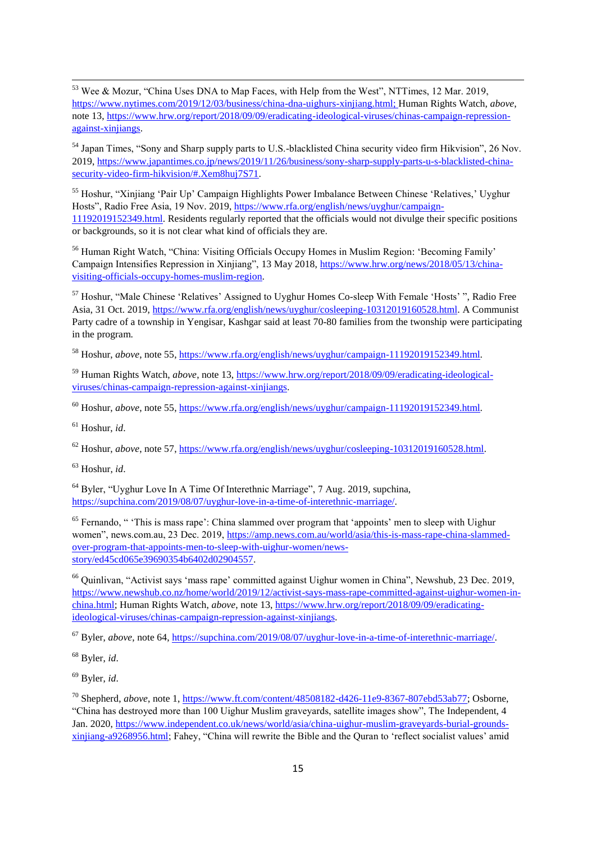1  $53$  Wee & Mozur, "China Uses DNA to Map Faces, with Help from the West", NTTimes, 12 Mar. 2019, [https://www.nytimes.com/2019/12/03/business/china-dna-uighurs-xinjiang.html;](https://www.nytimes.com/2019/12/03/business/china-dna-uighurs-xinjiang.html) Human Rights Watch, *above*, note 13[, https://www.hrw.org/report/2018/09/09/eradicating-ideological-viruses/chinas-campaign-repression](https://www.hrw.org/report/2018/09/09/eradicating-ideological-viruses/chinas-campaign-repression-against-xinjiangs)[against-xinjiangs.](https://www.hrw.org/report/2018/09/09/eradicating-ideological-viruses/chinas-campaign-repression-against-xinjiangs)

<sup>54</sup> Japan Times, "Sony and Sharp supply parts to U.S.-blacklisted China security video firm Hikvision", 26 Nov. 2019, [https://www.japantimes.co.jp/news/2019/11/26/business/sony-sharp-supply-parts-u-s-blacklisted-china](https://www.japantimes.co.jp/news/2019/11/26/business/sony-sharp-supply-parts-u-s-blacklisted-china-security-video-firm-hikvision/#.Xem8huj7S71)[security-video-firm-hikvision/#.Xem8huj7S71.](https://www.japantimes.co.jp/news/2019/11/26/business/sony-sharp-supply-parts-u-s-blacklisted-china-security-video-firm-hikvision/#.Xem8huj7S71)

<sup>55</sup> Hoshur, "Xinijang 'Pair Up' Campaign Highlights Power Imbalance Between Chinese 'Relatives,' Uyghur Hosts", Radio Free Asia, 19 Nov. 2019, [https://www.rfa.org/english/news/uyghur/campaign-](https://www.rfa.org/english/news/uyghur/campaign-11192019152349.html)[11192019152349.html.](https://www.rfa.org/english/news/uyghur/campaign-11192019152349.html) Residents regularly reported that the officials would not divulge their specific positions or backgrounds, so it is not clear what kind of officials they are.

<sup>56</sup> Human Right Watch, "China: Visiting Officials Occupy Homes in Muslim Region: 'Becoming Family' Campaign Intensifies Repression in Xinjiang", 13 May 2018[, https://www.hrw.org/news/2018/05/13/china](https://www.hrw.org/news/2018/05/13/china-visiting-officials-occupy-homes-muslim-region)[visiting-officials-occupy-homes-muslim-region.](https://www.hrw.org/news/2018/05/13/china-visiting-officials-occupy-homes-muslim-region)

 $57$  Hoshur, "Male Chinese 'Relatives' Assigned to Uyghur Homes Co-sleep With Female 'Hosts' ", Radio Free Asia, 31 Oct. 2019, [https://www.rfa.org/english/news/uyghur/cosleeping-10312019160528.html.](https://www.rfa.org/english/news/uyghur/cosleeping-10312019160528.html) A Communist Party cadre of a township in Yengisar, Kashgar said at least 70-80 families from the twonship were participating in the program.

<sup>58</sup> Hoshur, *above*, note 55, [https://www.rfa.org/english/news/uyghur/campaign-11192019152349.html.](https://www.rfa.org/english/news/uyghur/campaign-11192019152349.html)

<sup>59</sup> Human Rights Watch, *above*, note 13, [https://www.hrw.org/report/2018/09/09/eradicating-ideological](https://www.hrw.org/report/2018/09/09/eradicating-ideological-viruses/chinas-campaign-repression-against-xinjiangs)[viruses/chinas-campaign-repression-against-xinjiangs.](https://www.hrw.org/report/2018/09/09/eradicating-ideological-viruses/chinas-campaign-repression-against-xinjiangs)

<sup>60</sup> Hoshur, *above*, note 55, [https://www.rfa.org/english/news/uyghur/campaign-11192019152349.html.](https://www.rfa.org/english/news/uyghur/campaign-11192019152349.html)

<sup>61</sup> Hoshur, *id*.

<sup>62</sup> Hoshur, *above*, note 57, [https://www.rfa.org/english/news/uyghur/cosleeping-10312019160528.html.](https://www.rfa.org/english/news/uyghur/cosleeping-10312019160528.html)

<sup>63</sup> Hoshur, *id*.

 $64$  Byler, "Uyghur Love In A Time Of Interethnic Marriage", 7 Aug. 2019, supchina, [https://supchina.com/2019/08/07/uyghur-love-in-a-time-of-interethnic-marriage/.](https://supchina.com/2019/08/07/uyghur-love-in-a-time-of-interethnic-marriage/)

 $65$  Fernando, " This is mass rape': China slammed over program that 'appoints' men to sleep with Uighur women", news.com.au, 23 Dec. 2019[, https://amp.news.com.au/world/asia/this-is-mass-rape-china-slammed](https://amp.news.com.au/world/asia/this-is-mass-rape-china-slammed-over-program-that-appoints-men-to-sleep-with-uighur-women/news-story/ed45cd065e39690354b6402d02904557)[over-program-that-appoints-men-to-sleep-with-uighur-women/news](https://amp.news.com.au/world/asia/this-is-mass-rape-china-slammed-over-program-that-appoints-men-to-sleep-with-uighur-women/news-story/ed45cd065e39690354b6402d02904557)[story/ed45cd065e39690354b6402d02904557.](https://amp.news.com.au/world/asia/this-is-mass-rape-china-slammed-over-program-that-appoints-men-to-sleep-with-uighur-women/news-story/ed45cd065e39690354b6402d02904557)

<sup>66</sup> Quinlivan, "Activist says 'mass rape' committed against Uighur women in China", Newshub, 23 Dec. 2019, [https://www.newshub.co.nz/home/world/2019/12/activist-says-mass-rape-committed-against-uighur-women-in](https://www.newshub.co.nz/home/world/2019/12/activist-says-mass-rape-committed-against-uighur-women-in-china.html)[china.html;](https://www.newshub.co.nz/home/world/2019/12/activist-says-mass-rape-committed-against-uighur-women-in-china.html) Human Rights Watch, *above*, note 13, [https://www.hrw.org/report/2018/09/09/eradicating](https://www.hrw.org/report/2018/09/09/eradicating-ideological-viruses/chinas-campaign-repression-against-xinjiangs)[ideological-viruses/chinas-campaign-repression-against-xinjiangs.](https://www.hrw.org/report/2018/09/09/eradicating-ideological-viruses/chinas-campaign-repression-against-xinjiangs)

<sup>67</sup> Byler, *above*, note 64, [https://supchina.com/2019/08/07/uyghur-love-in-a-time-of-interethnic-marriage/.](https://supchina.com/2019/08/07/uyghur-love-in-a-time-of-interethnic-marriage/)

<sup>68</sup> Byler, *id*.

<sup>69</sup> Byler, *id*.

<sup>70</sup> Shepherd, *above*, note 1, [https://www.ft.com/content/48508182-d426-11e9-8367-807ebd53ab77;](https://www.ft.com/content/48508182-d426-11e9-8367-807ebd53ab77) Osborne, ―China has destroyed more than 100 Uighur Muslim graveyards, satellite images show‖, The Independent, 4 Jan. 2020, [https://www.independent.co.uk/news/world/asia/china-uighur-muslim-graveyards-burial-grounds](https://www.independent.co.uk/news/world/asia/china-uighur-muslim-graveyards-burial-grounds-xinjiang-a9268956.html)[xinjiang-a9268956.html;](https://www.independent.co.uk/news/world/asia/china-uighur-muslim-graveyards-burial-grounds-xinjiang-a9268956.html) Fahey, "China will rewrite the Bible and the Ouran to 'reflect socialist values' amid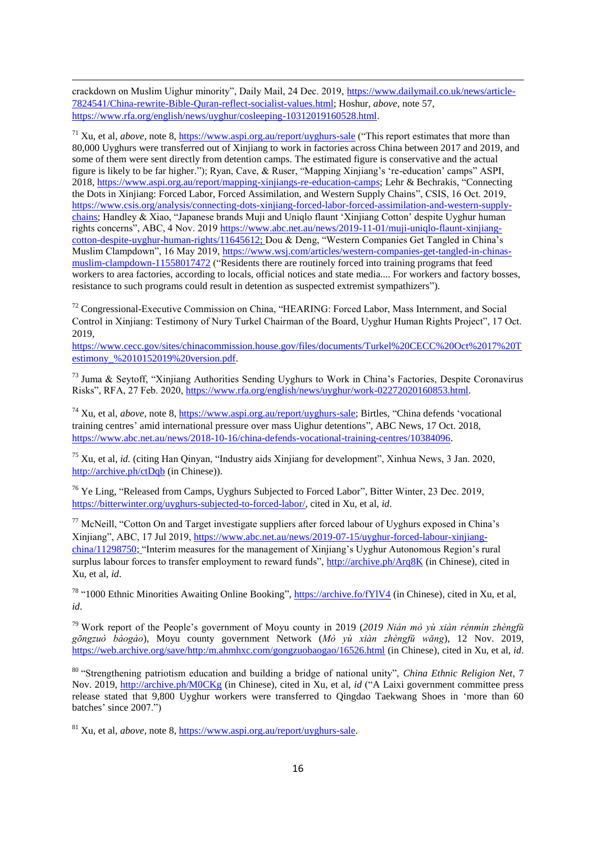crackdown on Muslim Uighur minority", Daily Mail, 24 Dec. 2019, [https://www.dailymail.co.uk/news/article-](https://www.dailymail.co.uk/news/article-7824541/China-rewrite-Bible-Quran-reflect-socialist-values.html)[7824541/China-rewrite-Bible-Quran-reflect-socialist-values.html;](https://www.dailymail.co.uk/news/article-7824541/China-rewrite-Bible-Quran-reflect-socialist-values.html) Hoshur, *above*, note 57, [https://www.rfa.org/english/news/uyghur/cosleeping-10312019160528.html.](https://www.rfa.org/english/news/uyghur/cosleeping-10312019160528.html)

1

 $^{71}$  Xu, et al, *above*, note 8[, https://www.aspi.org.au/report/uyghurs-sale](https://www.aspi.org.au/report/uyghurs-sale) ("This report estimates that more than 80,000 Uyghurs were transferred out of Xinjiang to work in factories across China between 2017 and 2019, and some of them were sent directly from detention camps. The estimated figure is conservative and the actual figure is likely to be far higher."); Ryan, Cave, & Ruser, "Mapping Xinijang's 're-education' camps" ASPI, 2018, [https://www.aspi.org.au/report/mapping-xinjiangs-re-education-camps;](https://www.aspi.org.au/report/mapping-xinjiangs-re-education-camps) Lehr & Bechrakis, "Connecting the Dots in Xinjiang: Forced Labor, Forced Assimilation, and Western Supply Chains", CSIS, 16 Oct. 2019, [https://www.csis.org/analysis/connecting-dots-xinjiang-forced-labor-forced-assimilation-and-western-supply](https://www.csis.org/analysis/connecting-dots-xinjiang-forced-labor-forced-assimilation-and-western-supply-chains)[chains;](https://www.csis.org/analysis/connecting-dots-xinjiang-forced-labor-forced-assimilation-and-western-supply-chains) Handley & Xiao, "Japanese brands Muji and Uniqlo flaunt 'Xinjiang Cotton' despite Uyghur human rights concerns", ABC, 4 Nov. 2019 [https://www.abc.net.au/news/2019-11-01/muji-uniqlo-flaunt-xinjiang](https://www.abc.net.au/news/2019-11-01/muji-uniqlo-flaunt-xinjiang-cotton-despite-uyghur-human-rights/11645612R)[cotton-despite-uyghur-human-rights/11645612;](https://www.abc.net.au/news/2019-11-01/muji-uniqlo-flaunt-xinjiang-cotton-despite-uyghur-human-rights/11645612R) Dou & Deng, "Western Companies Get Tangled in China's Muslim Clampdown", 16 May 2019, [https://www.wsj.com/articles/western-companies-get-tangled-in-chinas](https://www.wsj.com/articles/western-companies-get-tangled-in-chinas-muslim-clampdown-11558017472)[muslim-clampdown-11558017472](https://www.wsj.com/articles/western-companies-get-tangled-in-chinas-muslim-clampdown-11558017472) ("Residents there are routinely forced into training programs that feed workers to area factories, according to locals, official notices and state media.... For workers and factory bosses, resistance to such programs could result in detention as suspected extremist sympathizers").

 $72$  Congressional-Executive Commission on China, "HEARING: Forced Labor, Mass Internment, and Social Control in Xinjiang: Testimony of Nury Turkel Chairman of the Board, Uyghur Human Rights Project", 17 Oct. 2019,

[https://www.cecc.gov/sites/chinacommission.house.gov/files/documents/Turkel%20CECC%20Oct%2017%20T](https://www.cecc.gov/sites/chinacommission.house.gov/files/documents/Turkel%20CECC%20Oct%2017%20Testimony_%2010152019%20version.pdf) estimony $\sqrt{\frac{2010152019\%20}$ version.pdf.

 $^{73}$  Juma & Seytoff, "Xinjiang Authorities Sending Uyghurs to Work in China's Factories, Despite Coronavirus Risks‖, RFA, 27 Feb. 2020[, https://www.rfa.org/english/news/uyghur/work-02272020160853.html.](https://www.rfa.org/english/news/uyghur/work-02272020160853.html)

<sup>74</sup> Xu, et al, *above*, note 8, <u>https://www.aspi.org.au/report/uyghurs-sale</u>; Birtles, "China defends 'vocational training centres' amid international pressure over mass Uighur detentions", ABC News, 17 Oct. 2018, [https://www.abc.net.au/news/2018-10-16/china-defends-vocational-training-centres/10384096.](https://www.abc.net.au/news/2018-10-16/china-defends-vocational-training-centres/10384096)

 $^{75}$  Xu, et al, *id.* (citing Han Qinyan, "Industry aids Xinjiang for development", Xinhua News, 3 Jan. 2020, <http://archive.ph/ctDqb> (in Chinese)).

<sup>76</sup> Ye Ling, "Released from Camps, Uyghurs Subjected to Forced Labor", Bitter Winter, 23 Dec. 2019, [https://bitterwinter.org/uyghurs-subjected-to-forced-labor/,](https://bitterwinter.org/uyghurs-subjected-to-forced-labor/) cited in Xu, et al, *id*.

 $77$  McNeill, "Cotton On and Target investigate suppliers after forced labour of Uyghurs exposed in China's Xinjiang‖, ABC, 17 Jul 2019, [https://www.abc.net.au/news/2019-07-15/uyghur-forced-labour-xinjiang](https://www.abc.net.au/news/2019-07-15/uyghur-forced-labour-xinjiang-china/11298750)[china/11298750;](https://www.abc.net.au/news/2019-07-15/uyghur-forced-labour-xinjiang-china/11298750) "Interim measures for the management of Xinjiang's Uyghur Autonomous Region's rural surplus labour forces to transfer employment to reward funds",<http://archive.ph/Arq8K> (in Chinese), cited in Xu, et al, *id*.

<sup>78</sup> "1000 Ethnic Minorities Awaiting Online Booking",<https://archive.fo/fYlV4> (in Chinese), cited in Xu, et al, *id*.

<sup>79</sup> Work report of the People's government of Moyu county in 2019 (*2019 Nián mò yù xiàn rénmín zhèngfǔ gōngzuò bàogào*), Moyu county government Network (*Mò yù xiàn zhèngfǔ wǎng*), 12 Nov. 2019, <https://web.archive.org/save/http:/m.ahmhxc.com/gongzuobaogao/16526.html> (in Chinese), cited in Xu, et al, *id*.

<sup>80</sup> "Strengthening patriotism education and building a bridge of national unity", *China Ethnic Religion Net*, 7 Nov. 2019,<http://archive.ph/M0CKg> (in Chinese), cited in Xu, et al, *id* ("A Laixi government committee press release stated that 9,800 Uyghur workers were transferred to Oingdao Taekwang Shoes in 'more than 60 batches' since 2007."

<sup>81</sup> Xu, et al, *above*, note 8[, https://www.aspi.org.au/report/uyghurs-sale.](https://www.aspi.org.au/report/uyghurs-sale)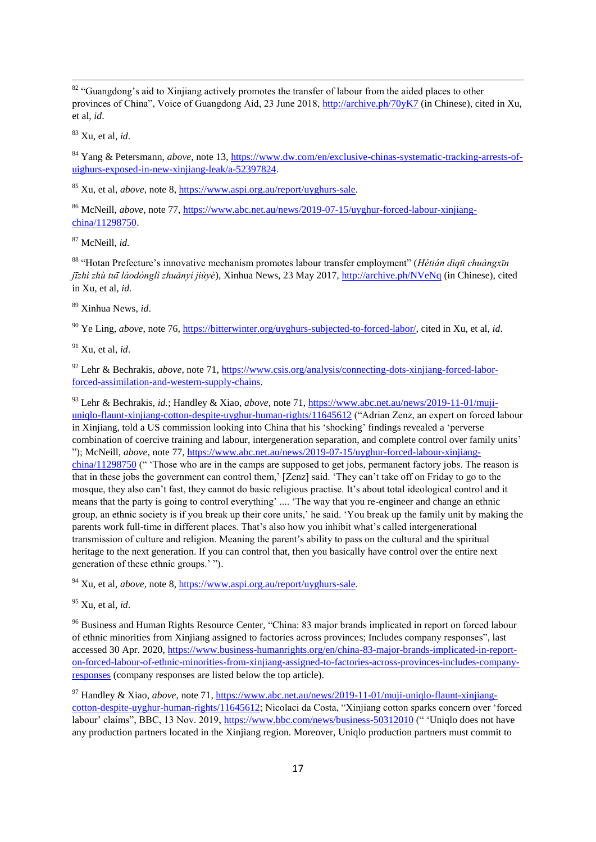$82$  "Guangdong's aid to Xinjiang actively promotes the transfer of labour from the aided places to other provinces of China", Voice of Guangdong Aid, 23 June 2018,<http://archive.ph/70yK7> (in Chinese), cited in Xu, et al, *id*.

<sup>83</sup> Xu, et al, *id*.

1

<sup>84</sup> Yang & Petersmann, *above*, note 13[, https://www.dw.com/en/exclusive-chinas-systematic-tracking-arrests-of](https://www.dw.com/en/exclusive-chinas-systematic-tracking-arrests-of-uighurs-exposed-in-new-xinjiang-leak/a-52397824)[uighurs-exposed-in-new-xinjiang-leak/a-52397824.](https://www.dw.com/en/exclusive-chinas-systematic-tracking-arrests-of-uighurs-exposed-in-new-xinjiang-leak/a-52397824)

<sup>85</sup> Xu, et al, *above*, note 8[, https://www.aspi.org.au/report/uyghurs-sale.](https://www.aspi.org.au/report/uyghurs-sale)

<sup>86</sup> McNeill, *above*, note 77, [https://www.abc.net.au/news/2019-07-15/uyghur-forced-labour-xinjiang](https://www.abc.net.au/news/2019-07-15/uyghur-forced-labour-xinjiang-china/11298750)[china/11298750.](https://www.abc.net.au/news/2019-07-15/uyghur-forced-labour-xinjiang-china/11298750)

<sup>87</sup> McNeill*, id.*

<sup>88</sup> ―Hotan Prefecture's innovative mechanism promotes labour transfer employment‖ (*Hétián dìqū chuàngxīn jīzhì zhù tuī láodònglì zhuǎnyí jiùyè*), Xinhua News, 23 May 2017,<http://archive.ph/NVeNq> (in Chinese), cited in Xu, et al, *id.*

<sup>89</sup> Xinhua News, *id*.

<sup>90</sup> Ye Ling, *above*, note 76[, https://bitterwinter.org/uyghurs-subjected-to-forced-labor/,](https://bitterwinter.org/uyghurs-subjected-to-forced-labor/) cited in Xu, et al, *id*.

<sup>91</sup> Xu, et al, *id*.

<sup>92</sup> Lehr & Bechrakis, *above*, note 71, [https://www.csis.org/analysis/connecting-dots-xinjiang-forced-labor](https://www.csis.org/analysis/connecting-dots-xinjiang-forced-labor-forced-assimilation-and-western-supply-chains)[forced-assimilation-and-western-supply-chains.](https://www.csis.org/analysis/connecting-dots-xinjiang-forced-labor-forced-assimilation-and-western-supply-chains)

<sup>93</sup> Lehr & Bechrakis, *id.*; Handley & Xiao, *above*, note 71, [https://www.abc.net.au/news/2019-11-01/muji](https://www.abc.net.au/news/2019-11-01/muji-uniqlo-flaunt-xinjiang-cotton-despite-uyghur-human-rights/11645612R)[uniqlo-flaunt-xinjiang-cotton-despite-uyghur-human-rights/11645612](https://www.abc.net.au/news/2019-11-01/muji-uniqlo-flaunt-xinjiang-cotton-despite-uyghur-human-rights/11645612R) ("Adrian Zenz, an expert on forced labour in Xinjiang, told a US commission looking into China that his 'shocking' findings revealed a 'perverse combination of coercive training and labour, intergeneration separation, and complete control over family units' ‖); McNeill, *above*, note 77, [https://www.abc.net.au/news/2019-07-15/uyghur-forced-labour-xinjiang](https://www.abc.net.au/news/2019-07-15/uyghur-forced-labour-xinjiang-china/11298750)[china/11298750](https://www.abc.net.au/news/2019-07-15/uyghur-forced-labour-xinjiang-china/11298750) (" 'Those who are in the camps are supposed to get jobs, permanent factory jobs. The reason is that in these jobs the government can control them,' [Zenz] said. ‗They can't take off on Friday to go to the mosque, they also can't fast, they cannot do basic religious practise. It's about total ideological control and it means that the party is going to control everything' .... ‗The way that you re-engineer and change an ethnic group, an ethnic society is if you break up their core units,' he said. ‗You break up the family unit by making the parents work full-time in different places. That's also how you inhibit what's called intergenerational transmission of culture and religion. Meaning the parent's ability to pass on the cultural and the spiritual heritage to the next generation. If you can control that, then you basically have control over the entire next generation of these ethnic groups.' ").

<sup>94</sup> Xu, et al, *above*, note 8[, https://www.aspi.org.au/report/uyghurs-sale.](https://www.aspi.org.au/report/uyghurs-sale)

<sup>95</sup> Xu, et al, *id*.

<sup>96</sup> Business and Human Rights Resource Center, "China: 83 major brands implicated in report on forced labour of ethnic minorities from Xinjiang assigned to factories across provinces; Includes company responses". last accessed 30 Apr. 2020, [https://www.business-humanrights.org/en/china-83-major-brands-implicated-in-report](https://www.business-humanrights.org/en/china-83-major-brands-implicated-in-report-on-forced-labour-of-ethnic-minorities-from-xinjiang-assigned-to-factories-across-provinces-includes-company-responses)[on-forced-labour-of-ethnic-minorities-from-xinjiang-assigned-to-factories-across-provinces-includes-company](https://www.business-humanrights.org/en/china-83-major-brands-implicated-in-report-on-forced-labour-of-ethnic-minorities-from-xinjiang-assigned-to-factories-across-provinces-includes-company-responses)[responses](https://www.business-humanrights.org/en/china-83-major-brands-implicated-in-report-on-forced-labour-of-ethnic-minorities-from-xinjiang-assigned-to-factories-across-provinces-includes-company-responses) (company responses are listed below the top article).

<sup>97</sup> Handley & Xiao, *above*, note 71[, https://www.abc.net.au/news/2019-11-01/muji-uniqlo-flaunt-xinjiang](https://www.abc.net.au/news/2019-11-01/muji-uniqlo-flaunt-xinjiang-cotton-despite-uyghur-human-rights/11645612R)[cotton-despite-uyghur-human-rights/11645612;](https://www.abc.net.au/news/2019-11-01/muji-uniqlo-flaunt-xinjiang-cotton-despite-uyghur-human-rights/11645612R) Nicolaci da Costa, "Xinjiang cotton sparks concern over 'forced labour' claims'', BBC, 13 Nov. 2019[, https://www.bbc.com/news/business-50312010](https://www.bbc.com/news/business-50312010) ("'Uniqlo does not have any production partners located in the Xinjiang region. Moreover, Uniqlo production partners must commit to